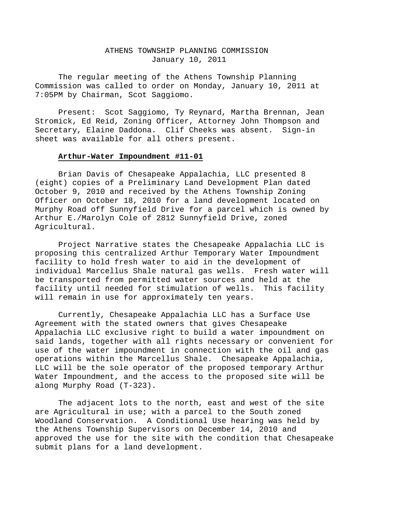# ATHENS TOWNSHIP PLANNING COMMISSION January 10, 2011

The regular meeting of the Athens Township Planning Commission was called to order on Monday, January 10, 2011 at 7:05PM by Chairman, Scot Saggiomo.

Present: Scot Saggiomo, Ty Reynard, Martha Brennan, Jean Stromick, Ed Reid, Zoning Officer, Attorney John Thompson and Secretary, Elaine Daddona. Clif Cheeks was absent. Sign-in sheet was available for all others present.

# **Arthur-Water Impoundment #11-01**

Brian Davis of Chesapeake Appalachia, LLC presented 8 (eight) copies of a Preliminary Land Development Plan dated October 9, 2010 and received by the Athens Township Zoning Officer on October 18, 2010 for a land development located on Murphy Road off Sunnyfield Drive for a parcel which is owned by Arthur E./Marolyn Cole of 2812 Sunnyfield Drive, zoned Agricultural.

Project Narrative states the Chesapeake Appalachia LLC is proposing this centralized Arthur Temporary Water Impoundment facility to hold fresh water to aid in the development of individual Marcellus Shale natural gas wells. Fresh water will be transported from permitted water sources and held at the facility until needed for stimulation of wells. This facility will remain in use for approximately ten years.

Currently, Chesapeake Appalachia LLC has a Surface Use Agreement with the stated owners that gives Chesapeake Appalachia LLC exclusive right to build a water impoundment on said lands, together with all rights necessary or convenient for use of the water impoundment in connection with the oil and gas operations within the Marcellus Shale. Chesapeake Appalachia, LLC will be the sole operator of the proposed temporary Arthur Water Impoundment, and the access to the proposed site will be along Murphy Road (T-323).

The adjacent lots to the north, east and west of the site are Agricultural in use; with a parcel to the South zoned Woodland Conservation. A Conditional Use hearing was held by the Athens Township Supervisors on December 14, 2010 and approved the use for the site with the condition that Chesapeake submit plans for a land development.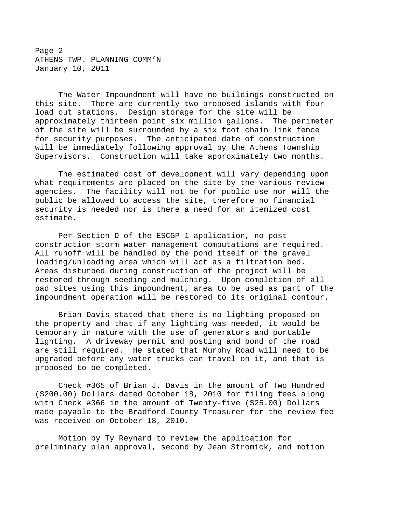Page 2 ATHENS TWP. PLANNING COMM'N January 10, 2011

The Water Impoundment will have no buildings constructed on this site. There are currently two proposed islands with four load out stations. Design storage for the site will be approximately thirteen point six million gallons. The perimeter of the site will be surrounded by a six foot chain link fence for security purposes. The anticipated date of construction will be immediately following approval by the Athens Township Supervisors. Construction will take approximately two months.

The estimated cost of development will vary depending upon what requirements are placed on the site by the various review agencies. The facility will not be for public use nor will the public be allowed to access the site, therefore no financial security is needed nor is there a need for an itemized cost estimate.

Per Section D of the ESCGP-1 application, no post construction storm water management computations are required. All runoff will be handled by the pond itself or the gravel loading/unloading area which will act as a filtration bed. Areas disturbed during construction of the project will be restored through seeding and mulching. Upon completion of all pad sites using this impoundment, area to be used as part of the impoundment operation will be restored to its original contour.

Brian Davis stated that there is no lighting proposed on the property and that if any lighting was needed, it would be temporary in nature with the use of generators and portable lighting. A driveway permit and posting and bond of the road are still required. He stated that Murphy Road will need to be upgraded before any water trucks can travel on it, and that is proposed to be completed.

Check #365 of Brian J. Davis in the amount of Two Hundred (\$200.00) Dollars dated October 18, 2010 for filing fees along with Check #366 in the amount of Twenty-five (\$25.00) Dollars made payable to the Bradford County Treasurer for the review fee was received on October 18, 2010.

Motion by Ty Reynard to review the application for preliminary plan approval, second by Jean Stromick, and motion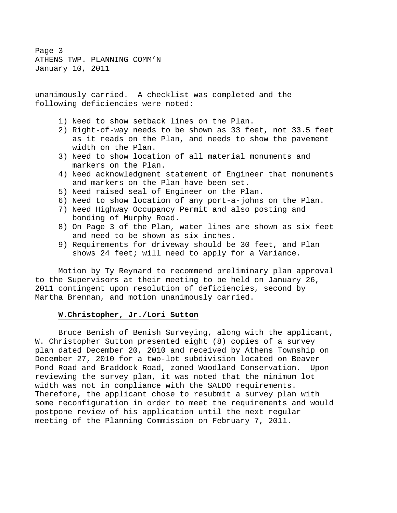Page 3 ATHENS TWP. PLANNING COMM'N January 10, 2011

unanimously carried. A checklist was completed and the following deficiencies were noted:

- 1) Need to show setback lines on the Plan.
- 2) Right-of-way needs to be shown as 33 feet, not 33.5 feet as it reads on the Plan, and needs to show the pavement width on the Plan.
- 3) Need to show location of all material monuments and markers on the Plan.
- 4) Need acknowledgment statement of Engineer that monuments and markers on the Plan have been set.
- 5) Need raised seal of Engineer on the Plan.
- 6) Need to show location of any port-a-johns on the Plan.
- 7) Need Highway Occupancy Permit and also posting and bonding of Murphy Road.
- 8) On Page 3 of the Plan, water lines are shown as six feet and need to be shown as six inches.
- 9) Requirements for driveway should be 30 feet, and Plan shows 24 feet; will need to apply for a Variance.

Motion by Ty Reynard to recommend preliminary plan approval to the Supervisors at their meeting to be held on January 26, 2011 contingent upon resolution of deficiencies, second by Martha Brennan, and motion unanimously carried.

# **W.Christopher, Jr./Lori Sutton**

Bruce Benish of Benish Surveying, along with the applicant, W. Christopher Sutton presented eight (8) copies of a survey plan dated December 20, 2010 and received by Athens Township on December 27, 2010 for a two-lot subdivision located on Beaver Pond Road and Braddock Road, zoned Woodland Conservation. Upon reviewing the survey plan, it was noted that the minimum lot width was not in compliance with the SALDO requirements. Therefore, the applicant chose to resubmit a survey plan with some reconfiguration in order to meet the requirements and would postpone review of his application until the next regular meeting of the Planning Commission on February 7, 2011.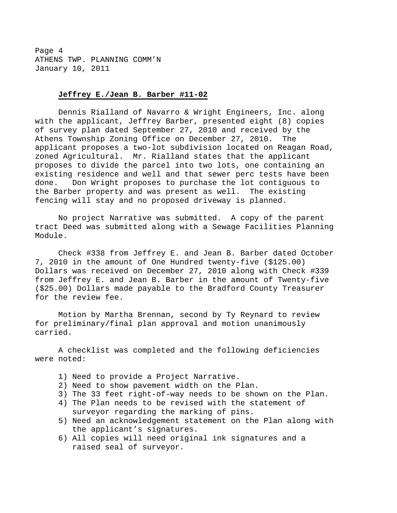Page 4 ATHENS TWP. PLANNING COMM'N January 10, 2011

# **Jeffrey E./Jean B. Barber #11-02**

Dennis Rialland of Navarro & Wright Engineers, Inc. along with the applicant, Jeffrey Barber, presented eight (8) copies of survey plan dated September 27, 2010 and received by the Athens Township Zoning Office on December 27, 2010. The applicant proposes a two-lot subdivision located on Reagan Road, zoned Agricultural. Mr. Rialland states that the applicant proposes to divide the parcel into two lots, one containing an existing residence and well and that sewer perc tests have been done. Don Wright proposes to purchase the lot contiguous to the Barber property and was present as well. The existing fencing will stay and no proposed driveway is planned.

No project Narrative was submitted. A copy of the parent tract Deed was submitted along with a Sewage Facilities Planning Module.

Check #338 from Jeffrey E. and Jean B. Barber dated October 7, 2010 in the amount of One Hundred twenty-five (\$125.00) Dollars was received on December 27, 2010 along with Check #339 from Jeffrey E. and Jean B. Barber in the amount of Twenty-five (\$25.00) Dollars made payable to the Bradford County Treasurer for the review fee.

Motion by Martha Brennan, second by Ty Reynard to review for preliminary/final plan approval and motion unanimously carried.

A checklist was completed and the following deficiencies were noted:

- 1) Need to provide a Project Narrative.
- 2) Need to show pavement width on the Plan.
- 3) The 33 feet right-of-way needs to be shown on the Plan.
- 4) The Plan needs to be revised with the statement of surveyor regarding the marking of pins.
- 5) Need an acknowledgement statement on the Plan along with the applicant's signatures.
- 6) All copies will need original ink signatures and a raised seal of surveyor.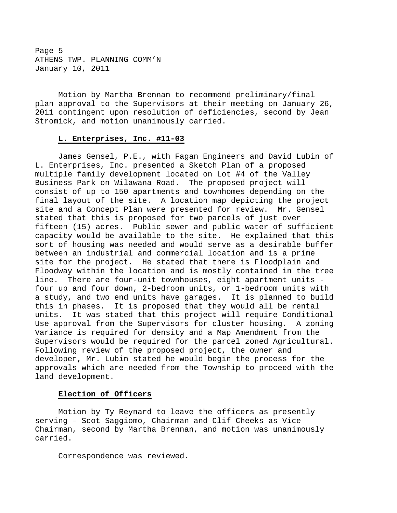Page 5 ATHENS TWP. PLANNING COMM'N January 10, 2011

Motion by Martha Brennan to recommend preliminary/final plan approval to the Supervisors at their meeting on January 26, 2011 contingent upon resolution of deficiencies, second by Jean Stromick, and motion unanimously carried.

# **L. Enterprises, Inc. #11-03**

James Gensel, P.E., with Fagan Engineers and David Lubin of L. Enterprises, Inc. presented a Sketch Plan of a proposed multiple family development located on Lot #4 of the Valley Business Park on Wilawana Road. The proposed project will consist of up to 150 apartments and townhomes depending on the final layout of the site. A location map depicting the project site and a Concept Plan were presented for review. Mr. Gensel stated that this is proposed for two parcels of just over fifteen (15) acres. Public sewer and public water of sufficient capacity would be available to the site. He explained that this sort of housing was needed and would serve as a desirable buffer between an industrial and commercial location and is a prime site for the project. He stated that there is Floodplain and Floodway within the location and is mostly contained in the tree line. There are four-unit townhouses, eight apartment units four up and four down, 2-bedroom units, or 1-bedroom units with a study, and two end units have garages. It is planned to build this in phases. It is proposed that they would all be rental units. It was stated that this project will require Conditional Use approval from the Supervisors for cluster housing. A zoning Variance is required for density and a Map Amendment from the Supervisors would be required for the parcel zoned Agricultural. Following review of the proposed project, the owner and developer, Mr. Lubin stated he would begin the process for the approvals which are needed from the Township to proceed with the land development.

# **Election of Officers**

Motion by Ty Reynard to leave the officers as presently serving – Scot Saggiomo, Chairman and Clif Cheeks as Vice Chairman, second by Martha Brennan, and motion was unanimously carried.

Correspondence was reviewed.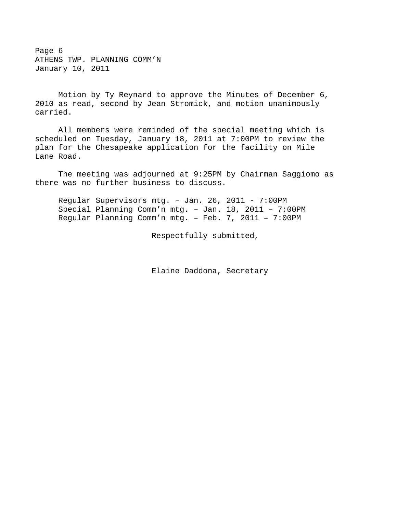Page 6 ATHENS TWP. PLANNING COMM'N January 10, 2011

 Motion by Ty Reynard to approve the Minutes of December 6, 2010 as read, second by Jean Stromick, and motion unanimously carried.

 All members were reminded of the special meeting which is scheduled on Tuesday, January 18, 2011 at 7:00PM to review the plan for the Chesapeake application for the facility on Mile Lane Road.

 The meeting was adjourned at 9:25PM by Chairman Saggiomo as there was no further business to discuss.

Regular Supervisors mtg. – Jan. 26, 2011 - 7:00PM Special Planning Comm'n mtg. – Jan. 18, 2011 – 7:00PM Regular Planning Comm'n mtg. – Feb. 7, 2011 – 7:00PM

Respectfully submitted,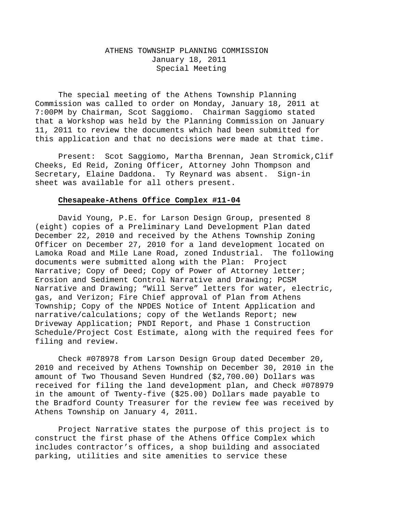# ATHENS TOWNSHIP PLANNING COMMISSION January 18, 2011 Special Meeting

The special meeting of the Athens Township Planning Commission was called to order on Monday, January 18, 2011 at 7:00PM by Chairman, Scot Saggiomo. Chairman Saggiomo stated that a Workshop was held by the Planning Commission on January 11, 2011 to review the documents which had been submitted for this application and that no decisions were made at that time.

Present: Scot Saggiomo, Martha Brennan, Jean Stromick,Clif Cheeks, Ed Reid, Zoning Officer, Attorney John Thompson and Secretary, Elaine Daddona. Ty Reynard was absent. Sign-in sheet was available for all others present.

# **Chesapeake-Athens Office Complex #11-04**

David Young, P.E. for Larson Design Group, presented 8 (eight) copies of a Preliminary Land Development Plan dated December 22, 2010 and received by the Athens Township Zoning Officer on December 27, 2010 for a land development located on Lamoka Road and Mile Lane Road, zoned Industrial. The following documents were submitted along with the Plan: Project Narrative; Copy of Deed; Copy of Power of Attorney letter; Erosion and Sediment Control Narrative and Drawing; PCSM Narrative and Drawing; "Will Serve" letters for water, electric, gas, and Verizon; Fire Chief approval of Plan from Athens Township; Copy of the NPDES Notice of Intent Application and narrative/calculations; copy of the Wetlands Report; new Driveway Application; PNDI Report, and Phase 1 Construction Schedule/Project Cost Estimate, along with the required fees for filing and review.

Check #078978 from Larson Design Group dated December 20, 2010 and received by Athens Township on December 30, 2010 in the amount of Two Thousand Seven Hundred (\$2,700.00) Dollars was received for filing the land development plan, and Check #078979 in the amount of Twenty-five (\$25.00) Dollars made payable to the Bradford County Treasurer for the review fee was received by Athens Township on January 4, 2011.

Project Narrative states the purpose of this project is to construct the first phase of the Athens Office Complex which includes contractor's offices, a shop building and associated parking, utilities and site amenities to service these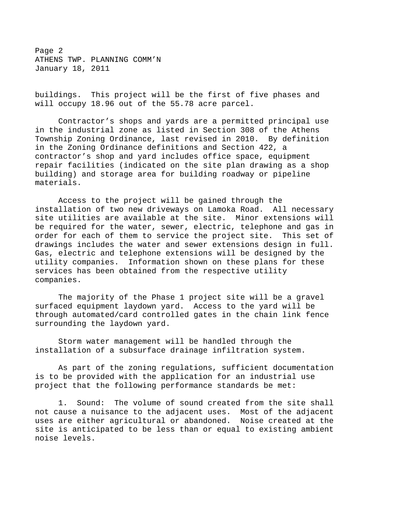Page 2 ATHENS TWP. PLANNING COMM'N January 18, 2011

buildings. This project will be the first of five phases and will occupy 18.96 out of the 55.78 acre parcel.

Contractor's shops and yards are a permitted principal use in the industrial zone as listed in Section 308 of the Athens Township Zoning Ordinance, last revised in 2010. By definition in the Zoning Ordinance definitions and Section 422, a contractor's shop and yard includes office space, equipment repair facilities (indicated on the site plan drawing as a shop building) and storage area for building roadway or pipeline materials.

Access to the project will be gained through the installation of two new driveways on Lamoka Road. All necessary site utilities are available at the site. Minor extensions will be required for the water, sewer, electric, telephone and gas in order for each of them to service the project site. This set of drawings includes the water and sewer extensions design in full. Gas, electric and telephone extensions will be designed by the utility companies. Information shown on these plans for these services has been obtained from the respective utility companies.

The majority of the Phase 1 project site will be a gravel surfaced equipment laydown yard. Access to the yard will be through automated/card controlled gates in the chain link fence surrounding the laydown yard.

Storm water management will be handled through the installation of a subsurface drainage infiltration system.

As part of the zoning regulations, sufficient documentation is to be provided with the application for an industrial use project that the following performance standards be met:

1. Sound: The volume of sound created from the site shall not cause a nuisance to the adjacent uses. Most of the adjacent uses are either agricultural or abandoned. Noise created at the site is anticipated to be less than or equal to existing ambient noise levels.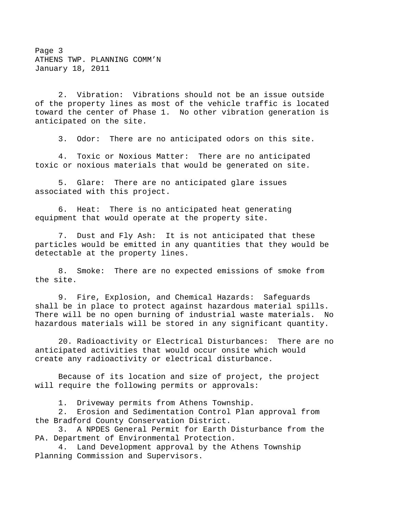Page 3 ATHENS TWP. PLANNING COMM'N January 18, 2011

2. Vibration: Vibrations should not be an issue outside of the property lines as most of the vehicle traffic is located toward the center of Phase 1. No other vibration generation is anticipated on the site.

3. Odor: There are no anticipated odors on this site.

4. Toxic or Noxious Matter: There are no anticipated toxic or noxious materials that would be generated on site.

5. Glare: There are no anticipated glare issues associated with this project.

6. Heat: There is no anticipated heat generating equipment that would operate at the property site.

7. Dust and Fly Ash: It is not anticipated that these particles would be emitted in any quantities that they would be detectable at the property lines.

8. Smoke: There are no expected emissions of smoke from the site.

9. Fire, Explosion, and Chemical Hazards: Safeguards shall be in place to protect against hazardous material spills. There will be no open burning of industrial waste materials. No hazardous materials will be stored in any significant quantity.

20. Radioactivity or Electrical Disturbances: There are no anticipated activities that would occur onsite which would create any radioactivity or electrical disturbance.

Because of its location and size of project, the project will require the following permits or approvals:

1. Driveway permits from Athens Township.

2. Erosion and Sedimentation Control Plan approval from the Bradford County Conservation District.

3. A NPDES General Permit for Earth Disturbance from the PA. Department of Environmental Protection.

4. Land Development approval by the Athens Township Planning Commission and Supervisors.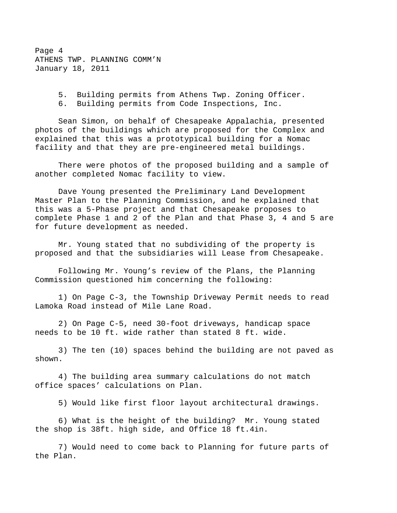Page 4 ATHENS TWP. PLANNING COMM'N January 18, 2011

5. Building permits from Athens Twp. Zoning Officer.

6. Building permits from Code Inspections, Inc.

Sean Simon, on behalf of Chesapeake Appalachia, presented photos of the buildings which are proposed for the Complex and explained that this was a prototypical building for a Nomac facility and that they are pre-engineered metal buildings.

There were photos of the proposed building and a sample of another completed Nomac facility to view.

Dave Young presented the Preliminary Land Development Master Plan to the Planning Commission, and he explained that this was a 5-Phase project and that Chesapeake proposes to complete Phase 1 and 2 of the Plan and that Phase 3, 4 and 5 are for future development as needed.

Mr. Young stated that no subdividing of the property is proposed and that the subsidiaries will Lease from Chesapeake.

Following Mr. Young's review of the Plans, the Planning Commission questioned him concerning the following:

1) On Page C-3, the Township Driveway Permit needs to read Lamoka Road instead of Mile Lane Road.

2) On Page C-5, need 30-foot driveways, handicap space needs to be 10 ft. wide rather than stated 8 ft. wide.

3) The ten (10) spaces behind the building are not paved as shown.

4) The building area summary calculations do not match office spaces' calculations on Plan.

5) Would like first floor layout architectural drawings.

6) What is the height of the building? Mr. Young stated the shop is 38ft. high side, and Office 18 ft.4in.

7) Would need to come back to Planning for future parts of the Plan.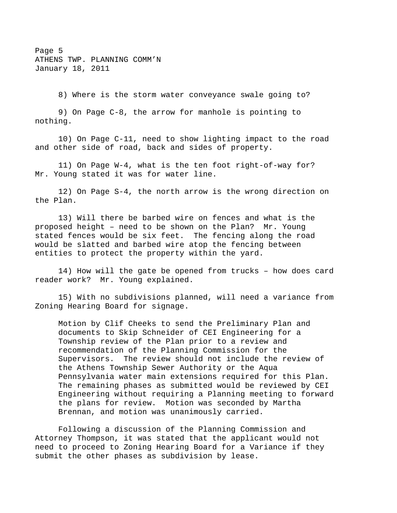Page 5 ATHENS TWP. PLANNING COMM'N January 18, 2011

8) Where is the storm water conveyance swale going to?

9) On Page C-8, the arrow for manhole is pointing to nothing.

10) On Page C-11, need to show lighting impact to the road and other side of road, back and sides of property.

11) On Page W-4, what is the ten foot right-of-way for? Mr. Young stated it was for water line.

12) On Page S-4, the north arrow is the wrong direction on the Plan.

13) Will there be barbed wire on fences and what is the proposed height – need to be shown on the Plan? Mr. Young stated fences would be six feet. The fencing along the road would be slatted and barbed wire atop the fencing between entities to protect the property within the yard.

14) How will the gate be opened from trucks – how does card reader work? Mr. Young explained.

15) With no subdivisions planned, will need a variance from Zoning Hearing Board for signage.

Motion by Clif Cheeks to send the Preliminary Plan and documents to Skip Schneider of CEI Engineering for a Township review of the Plan prior to a review and recommendation of the Planning Commission for the Supervisors. The review should not include the review of the Athens Township Sewer Authority or the Aqua Pennsylvania water main extensions required for this Plan. The remaining phases as submitted would be reviewed by CEI Engineering without requiring a Planning meeting to forward the plans for review. Motion was seconded by Martha Brennan, and motion was unanimously carried.

Following a discussion of the Planning Commission and Attorney Thompson, it was stated that the applicant would not need to proceed to Zoning Hearing Board for a Variance if they submit the other phases as subdivision by lease.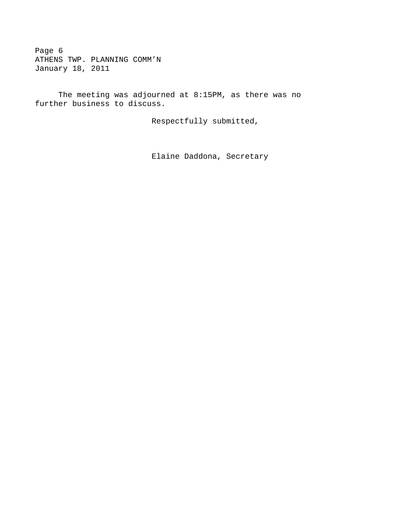Page 6 ATHENS TWP. PLANNING COMM'N January 18, 2011

The meeting was adjourned at 8:15PM, as there was no further business to discuss.

Respectfully submitted,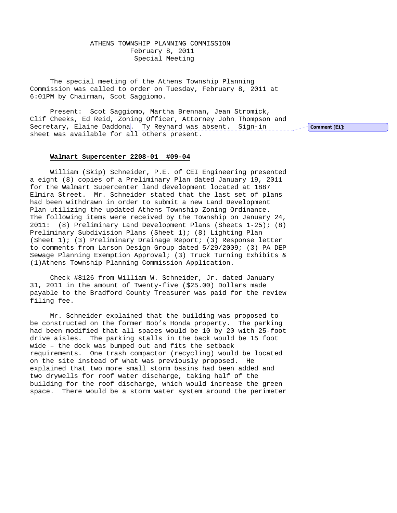ATHENS TOWNSHIP PLANNING COMMISSION February 8, 2011 Special Meeting

The special meeting of the Athens Township Planning Commission was called to order on Tuesday, February 8, 2011 at 6:01PM by Chairman, Scot Saggiomo.

Present: Scot Saggiomo, Martha Brennan, Jean Stromick, Clif Cheeks, Ed Reid, Zoning Officer, Attorney John Thompson and Secretary, Elaine Daddona. Ty Reynard was absent. Sign-in sheet was available for all others present.

Comment [E1]:

#### **Walmart Supercenter 2208-01 #09-04**

William (Skip) Schneider, P.E. of CEI Engineering presented a eight (8) copies of a Preliminary Plan dated January 19, 2011 for the Walmart Supercenter land development located at 1887 Elmira Street. Mr. Schneider stated that the last set of plans had been withdrawn in order to submit a new Land Development Plan utilizing the updated Athens Township Zoning Ordinance. The following items were received by the Township on January 24, 2011: (8) Preliminary Land Development Plans (Sheets 1-25); (8) Preliminary Subdivision Plans (Sheet 1); (8) Lighting Plan (Sheet 1); (3) Preliminary Drainage Report; (3) Response letter to comments from Larson Design Group dated 5/29/2009; (3) PA DEP Sewage Planning Exemption Approval; (3) Truck Turning Exhibits & (1)Athens Township Planning Commission Application.

Check #8126 from William W. Schneider, Jr. dated January 31, 2011 in the amount of Twenty-five (\$25.00) Dollars made payable to the Bradford County Treasurer was paid for the review filing fee.

Mr. Schneider explained that the building was proposed to be constructed on the former Bob's Honda property. The parking had been modified that all spaces would be 10 by 20 with 25-foot drive aisles. The parking stalls in the back would be 15 foot wide – the dock was bumped out and fits the setback requirements. One trash compactor (recycling) would be located on the site instead of what was previously proposed. He explained that two more small storm basins had been added and two drywells for roof water discharge, taking half of the building for the roof discharge, which would increase the green space. There would be a storm water system around the perimeter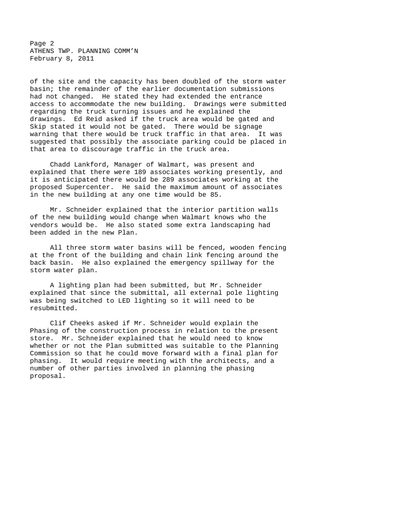Page 2 ATHENS TWP. PLANNING COMM'N February 8, 2011

of the site and the capacity has been doubled of the storm water basin; the remainder of the earlier documentation submissions had not changed. He stated they had extended the entrance access to accommodate the new building. Drawings were submitted regarding the truck turning issues and he explained the drawings. Ed Reid asked if the truck area would be gated and Skip stated it would not be gated. There would be signage warning that there would be truck traffic in that area. It was suggested that possibly the associate parking could be placed in that area to discourage traffic in the truck area.

Chadd Lankford, Manager of Walmart, was present and explained that there were 189 associates working presently, and it is anticipated there would be 289 associates working at the proposed Supercenter. He said the maximum amount of associates in the new building at any one time would be 85.

Mr. Schneider explained that the interior partition walls of the new building would change when Walmart knows who the vendors would be. He also stated some extra landscaping had been added in the new Plan.

All three storm water basins will be fenced, wooden fencing at the front of the building and chain link fencing around the back basin. He also explained the emergency spillway for the storm water plan.

A lighting plan had been submitted, but Mr. Schneider explained that since the submittal, all external pole lighting was being switched to LED lighting so it will need to be resubmitted.

Clif Cheeks asked if Mr. Schneider would explain the Phasing of the construction process in relation to the present store. Mr. Schneider explained that he would need to know whether or not the Plan submitted was suitable to the Planning Commission so that he could move forward with a final plan for phasing. It would require meeting with the architects, and a number of other parties involved in planning the phasing proposal.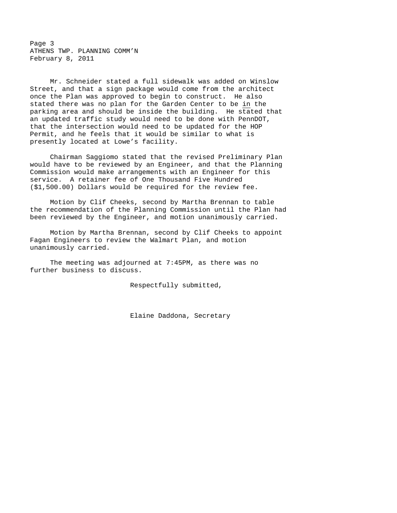Page 3 ATHENS TWP. PLANNING COMM'N February 8, 2011

Mr. Schneider stated a full sidewalk was added on Winslow Street, and that a sign package would come from the architect once the Plan was approved to begin to construct. He also stated there was no plan for the Garden Center to be in the parking area and should be inside the building. He stated that an updated traffic study would need to be done with PennDOT, that the intersection would need to be updated for the HOP Permit, and he feels that it would be similar to what is presently located at Lowe's facility.

Chairman Saggiomo stated that the revised Preliminary Plan would have to be reviewed by an Engineer, and that the Planning Commission would make arrangements with an Engineer for this service. A retainer fee of One Thousand Five Hundred (\$1,500.00) Dollars would be required for the review fee.

Motion by Clif Cheeks, second by Martha Brennan to table the recommendation of the Planning Commission until the Plan had been reviewed by the Engineer, and motion unanimously carried.

Motion by Martha Brennan, second by Clif Cheeks to appoint Fagan Engineers to review the Walmart Plan, and motion unanimously carried.

The meeting was adjourned at 7:45PM, as there was no further business to discuss.

Respectfully submitted,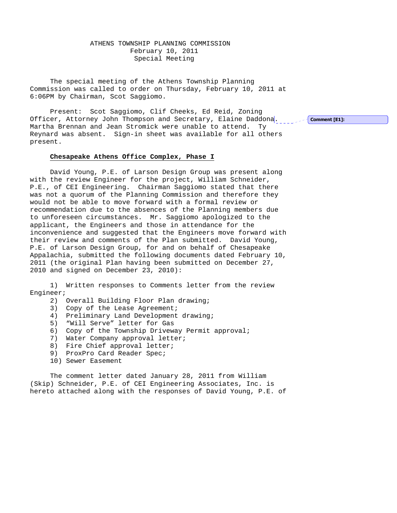ATHENS TOWNSHIP PLANNING COMMISSION February 10, 2011 Special Meeting

The special meeting of the Athens Township Planning Commission was called to order on Thursday, February 10, 2011 at 6:06PM by Chairman, Scot Saggiomo.

Present: Scot Saggiomo, Clif Cheeks, Ed Reid, Zoning Officer, Attorney John Thompson and Secretary, Elaine Daddona. Martha Brennan and Jean Stromick were unable to attend. Ty Reynard was absent. Sign-in sheet was available for all others present.

## **Chesapeake Athens Office Complex, Phase I**

 David Young, P.E. of Larson Design Group was present along with the review Engineer for the project, William Schneider, P.E., of CEI Engineering. Chairman Saggiomo stated that there was not a quorum of the Planning Commission and therefore they would not be able to move forward with a formal review or recommendation due to the absences of the Planning members due to unforeseen circumstances. Mr. Saggiomo apologized to the applicant, the Engineers and those in attendance for the inconvenience and suggested that the Engineers move forward with their review and comments of the Plan submitted. David Young, P.E. of Larson Design Group, for and on behalf of Chesapeake Appalachia, submitted the following documents dated February 10, 2011 (the original Plan having been submitted on December 27, 2010 and signed on December 23, 2010):

 1) Written responses to Comments letter from the review Engineer;

2) Overall Building Floor Plan drawing;

- 3) Copy of the Lease Agreement;
- 4) Preliminary Land Development drawing;
- 5) "Will Serve" letter for Gas
- 6) Copy of the Township Driveway Permit approval;
- 7) Water Company approval letter;
- 8) Fire Chief approval letter;
- 9) ProxPro Card Reader Spec;
- 10) Sewer Easement

 The comment letter dated January 28, 2011 from William (Skip) Schneider, P.E. of CEI Engineering Associates, Inc. is hereto attached along with the responses of David Young, P.E. of Comment [E1]: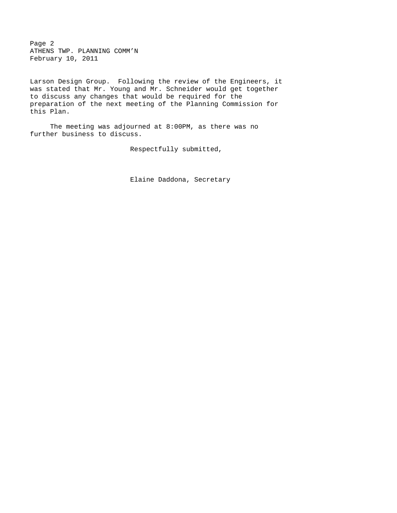Page 2 ATHENS TWP. PLANNING COMM'N February 10, 2011

Larson Design Group. Following the review of the Engineers, it was stated that Mr. Young and Mr. Schneider would get together to discuss any changes that would be required for the preparation of the next meeting of the Planning Commission for this Plan.

The meeting was adjourned at 8:00PM, as there was no further business to discuss.

Respectfully submitted,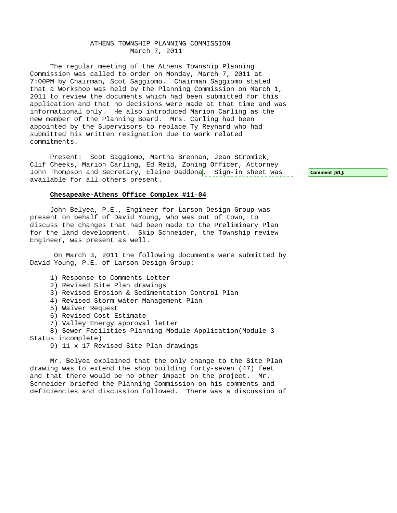## ATHENS TOWNSHIP PLANNING COMMISSION March 7, 2011

The regular meeting of the Athens Township Planning Commission was called to order on Monday, March 7, 2011 at 7:00PM by Chairman, Scot Saggiomo. Chairman Saggiomo stated that a Workshop was held by the Planning Commission on March 1, 2011 to review the documents which had been submitted for this application and that no decisions were made at that time and was informational only. He also introduced Marion Carling as the new member of the Planning Board. Mrs. Carling had been appointed by the Supervisors to replace Ty Reynard who had submitted his written resignation due to work related commitments.

Present: Scot Saggiomo, Martha Brennan, Jean Stromick, Clif Cheeks, Marion Carling, Ed Reid, Zoning Officer, Attorney John Thompson and Secretary, Elaine Daddona. Sign-in sheet was serion comment [E1]: available for all others present.

#### **Chesapeake-Athens Office Complex #11-04**

John Belyea, P.E., Engineer for Larson Design Group was present on behalf of David Young, who was out of town, to discuss the changes that had been made to the Preliminary Plan for the land development. Skip Schneider, the Township review Engineer, was present as well.

 On March 3, 2011 the following documents were submitted by David Young, P.E. of Larson Design Group:

- 1) Response to Comments Letter
- 2) Revised Site Plan drawings
- 3) Revised Erosion & Sedimentation Control Plan
- 4) Revised Storm water Management Plan
- 5) Waiver Request
- 6) Revised Cost Estimate
- 7) Valley Energy approval letter

8) Sewer Facilities Planning Module Application(Module 3 Status incomplete)

9) 11 x 17 Revised Site Plan drawings

Mr. Belyea explained that the only change to the Site Plan drawing was to extend the shop building forty-seven (47) feet and that there would be no other impact on the project. Mr. Schneider briefed the Planning Commission on his comments and deficiencies and discussion followed. There was a discussion of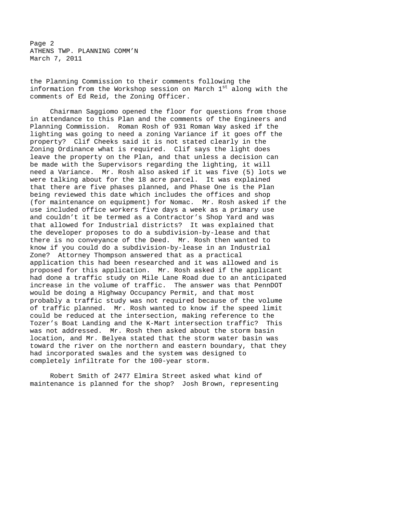Page 2 ATHENS TWP. PLANNING COMM'N March 7, 2011

the Planning Commission to their comments following the information from the Workshop session on March 1st along with the comments of Ed Reid, the Zoning Officer.

Chairman Saggiomo opened the floor for questions from those in attendance to this Plan and the comments of the Engineers and Planning Commission. Roman Rosh of 931 Roman Way asked if the lighting was going to need a zoning Variance if it goes off the property? Clif Cheeks said it is not stated clearly in the Zoning Ordinance what is required. Clif says the light does leave the property on the Plan, and that unless a decision can be made with the Supervisors regarding the lighting, it will need a Variance. Mr. Rosh also asked if it was five (5) lots we were talking about for the 18 acre parcel. It was explained that there are five phases planned, and Phase One is the Plan being reviewed this date which includes the offices and shop (for maintenance on equipment) for Nomac. Mr. Rosh asked if the use included office workers five days a week as a primary use and couldn't it be termed as a Contractor's Shop Yard and was that allowed for Industrial districts? It was explained that the developer proposes to do a subdivision-by-lease and that there is no conveyance of the Deed. Mr. Rosh then wanted to know if you could do a subdivision-by-lease in an Industrial Zone? Attorney Thompson answered that as a practical application this had been researched and it was allowed and is proposed for this application. Mr. Rosh asked if the applicant had done a traffic study on Mile Lane Road due to an anticipated increase in the volume of traffic. The answer was that PennDOT would be doing a Highway Occupancy Permit, and that most probably a traffic study was not required because of the volume of traffic planned. Mr. Rosh wanted to know if the speed limit could be reduced at the intersection, making reference to the Tozer's Boat Landing and the K-Mart intersection traffic? This was not addressed. Mr. Rosh then asked about the storm basin location, and Mr. Belyea stated that the storm water basin was toward the river on the northern and eastern boundary, that they had incorporated swales and the system was designed to completely infiltrate for the 100-year storm.

Robert Smith of 2477 Elmira Street asked what kind of maintenance is planned for the shop? Josh Brown, representing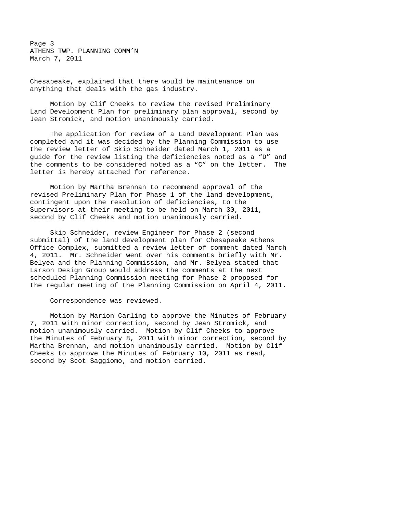Page 3 ATHENS TWP. PLANNING COMM'N March 7, 2011

Chesapeake, explained that there would be maintenance on anything that deals with the gas industry.

Motion by Clif Cheeks to review the revised Preliminary Land Development Plan for preliminary plan approval, second by Jean Stromick, and motion unanimously carried.

The application for review of a Land Development Plan was completed and it was decided by the Planning Commission to use the review letter of Skip Schneider dated March 1, 2011 as a guide for the review listing the deficiencies noted as a "D" and the comments to be considered noted as a "C" on the letter. The letter is hereby attached for reference.

Motion by Martha Brennan to recommend approval of the revised Preliminary Plan for Phase 1 of the land development, contingent upon the resolution of deficiencies, to the Supervisors at their meeting to be held on March 30, 2011, second by Clif Cheeks and motion unanimously carried.

Skip Schneider, review Engineer for Phase 2 (second submittal) of the land development plan for Chesapeake Athens Office Complex, submitted a review letter of comment dated March 4, 2011. Mr. Schneider went over his comments briefly with Mr. Belyea and the Planning Commission, and Mr. Belyea stated that Larson Design Group would address the comments at the next scheduled Planning Commission meeting for Phase 2 proposed for the regular meeting of the Planning Commission on April 4, 2011.

Correspondence was reviewed.

Motion by Marion Carling to approve the Minutes of February 7, 2011 with minor correction, second by Jean Stromick, and motion unanimously carried. Motion by Clif Cheeks to approve the Minutes of February 8, 2011 with minor correction, second by Martha Brennan, and motion unanimously carried. Motion by Clif Cheeks to approve the Minutes of February 10, 2011 as read, second by Scot Saggiomo, and motion carried.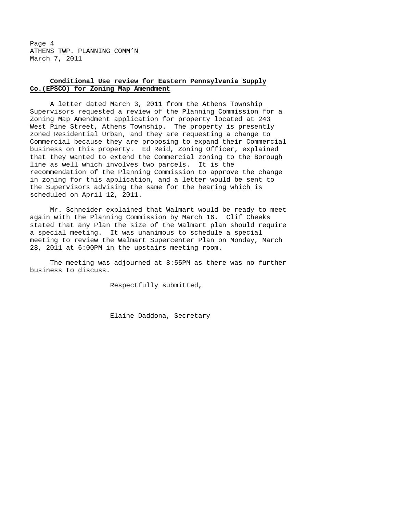Page 4 ATHENS TWP. PLANNING COMM'N March 7, 2011

# **Conditional Use review for Eastern Pennsylvania Supply Co.(EPSCO) for Zoning Map Amendment**

A letter dated March 3, 2011 from the Athens Township Supervisors requested a review of the Planning Commission for a Zoning Map Amendment application for property located at 243 West Pine Street, Athens Township. The property is presently zoned Residential Urban, and they are requesting a change to Commercial because they are proposing to expand their Commercial business on this property. Ed Reid, Zoning Officer, explained that they wanted to extend the Commercial zoning to the Borough line as well which involves two parcels. It is the recommendation of the Planning Commission to approve the change in zoning for this application, and a letter would be sent to the Supervisors advising the same for the hearing which is scheduled on April 12, 2011.

Mr. Schneider explained that Walmart would be ready to meet again with the Planning Commission by March 16. Clif Cheeks stated that any Plan the size of the Walmart plan should require a special meeting. It was unanimous to schedule a special meeting to review the Walmart Supercenter Plan on Monday, March 28, 2011 at 6:00PM in the upstairs meeting room.

The meeting was adjourned at 8:55PM as there was no further business to discuss.

Respectfully submitted,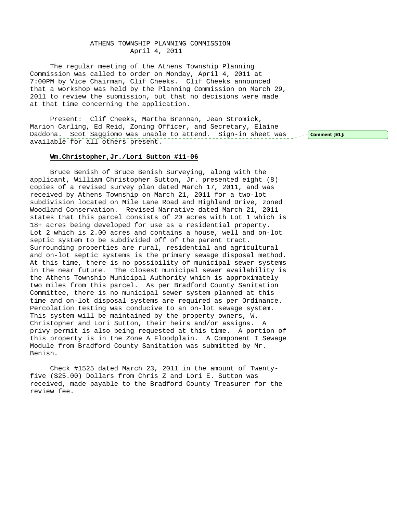## ATHENS TOWNSHIP PLANNING COMMISSION April 4, 2011

The regular meeting of the Athens Township Planning Commission was called to order on Monday, April 4, 2011 at 7:00PM by Vice Chairman, Clif Cheeks. Clif Cheeks announced that a workshop was held by the Planning Commission on March 29, 2011 to review the submission, but that no decisions were made at that time concerning the application.

Present: Clif Cheeks, Martha Brennan, Jean Stromick, Marion Carling, Ed Reid, Zoning Officer, and Secretary, Elaine Daddona<mark>. Scot Saggiomo was unable to attend. Sign-in sheet was seef **Comment[E1]:**</mark> available for all others present.

## **Wm.Christopher,Jr./Lori Sutton #11-06**

Bruce Benish of Bruce Benish Surveying, along with the applicant, William Christopher Sutton, Jr. presented eight (8) copies of a revised survey plan dated March 17, 2011, and was received by Athens Township on March 21, 2011 for a two-lot subdivision located on Mile Lane Road and Highland Drive, zoned Woodland Conservation. Revised Narrative dated March 21, 2011 states that this parcel consists of 20 acres with Lot 1 which is 18+ acres being developed for use as a residential property. Lot 2 which is 2.00 acres and contains a house, well and on-lot septic system to be subdivided off of the parent tract. Surrounding properties are rural, residential and agricultural and on-lot septic systems is the primary sewage disposal method. At this time, there is no possibility of municipal sewer systems in the near future. The closest municipal sewer availability is the Athens Township Municipal Authority which is approximately two miles from this parcel. As per Bradford County Sanitation Committee, there is no municipal sewer system planned at this time and on-lot disposal systems are required as per Ordinance. Percolation testing was conducive to an on-lot sewage system. This system will be maintained by the property owners, W. Christopher and Lori Sutton, their heirs and/or assigns. A privy permit is also being requested at this time. A portion of this property is in the Zone A Floodplain. A Component I Sewage Module from Bradford County Sanitation was submitted by Mr. Benish.

Check #1525 dated March 23, 2011 in the amount of Twentyfive (\$25.00) Dollars from Chris Z and Lori E. Sutton was received, made payable to the Bradford County Treasurer for the review fee.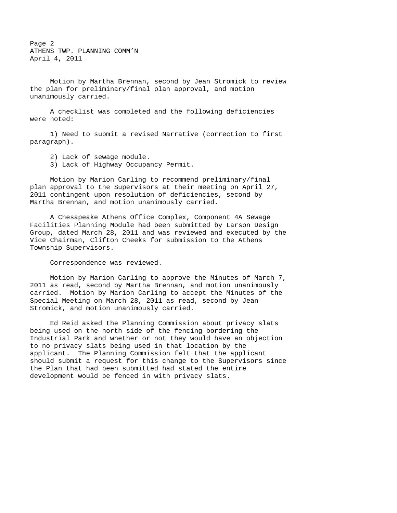Page 2 ATHENS TWP. PLANNING COMM'N April 4, 2011

Motion by Martha Brennan, second by Jean Stromick to review the plan for preliminary/final plan approval, and motion unanimously carried.

A checklist was completed and the following deficiencies were noted:

1) Need to submit a revised Narrative (correction to first paragraph).

2) Lack of sewage module.

3) Lack of Highway Occupancy Permit.

Motion by Marion Carling to recommend preliminary/final plan approval to the Supervisors at their meeting on April 27, 2011 contingent upon resolution of deficiencies, second by Martha Brennan, and motion unanimously carried.

A Chesapeake Athens Office Complex, Component 4A Sewage Facilities Planning Module had been submitted by Larson Design Group, dated March 28, 2011 and was reviewed and executed by the Vice Chairman, Clifton Cheeks for submission to the Athens Township Supervisors.

Correspondence was reviewed.

 Motion by Marion Carling to approve the Minutes of March 7, 2011 as read, second by Martha Brennan, and motion unanimously carried. Motion by Marion Carling to accept the Minutes of the Special Meeting on March 28, 2011 as read, second by Jean Stromick, and motion unanimously carried.

 Ed Reid asked the Planning Commission about privacy slats being used on the north side of the fencing bordering the Industrial Park and whether or not they would have an objection to no privacy slats being used in that location by the applicant. The Planning Commission felt that the applicant should submit a request for this change to the Supervisors since the Plan that had been submitted had stated the entire development would be fenced in with privacy slats.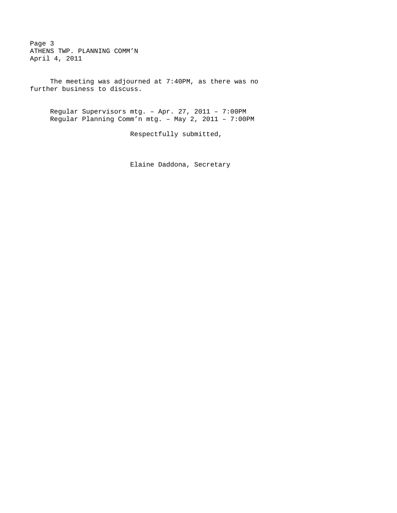Page 3 ATHENS TWP. PLANNING COMM'N April 4, 2011

 The meeting was adjourned at 7:40PM, as there was no further business to discuss.

Regular Supervisors mtg. – Apr. 27, 2011 – 7:00PM Regular Planning Comm'n mtg. – May 2, 2011 – 7:00PM

Respectfully submitted,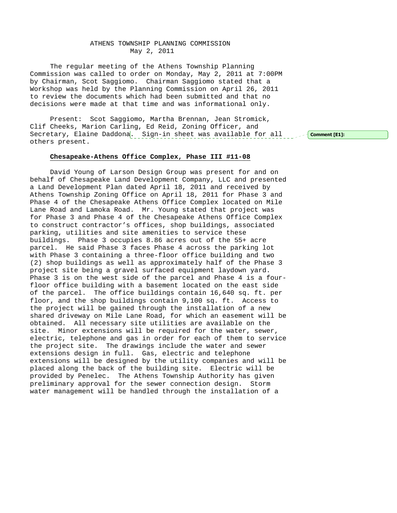## ATHENS TOWNSHIP PLANNING COMMISSION May 2, 2011

The regular meeting of the Athens Township Planning Commission was called to order on Monday, May 2, 2011 at 7:00PM by Chairman, Scot Saggiomo. Chairman Saggiomo stated that a Workshop was held by the Planning Commission on April 26, 2011 to review the documents which had been submitted and that no decisions were made at that time and was informational only.

Present: Scot Saggiomo, Martha Brennan, Jean Stromick, Clif Cheeks, Marion Carling, Ed Reid, Zoning Officer, and Secretary, Elaine Daddona. Sign-in sheet was available for all secomment [E1]: others present.

## **Chesapeake-Athens Office Complex, Phase III #11-08**

David Young of Larson Design Group was present for and on behalf of Chesapeake Land Development Company, LLC and presented a Land Development Plan dated April 18, 2011 and received by Athens Township Zoning Office on April 18, 2011 for Phase 3 and Phase 4 of the Chesapeake Athens Office Complex located on Mile Lane Road and Lamoka Road. Mr. Young stated that project was for Phase 3 and Phase 4 of the Chesapeake Athens Office Complex to construct contractor's offices, shop buildings, associated parking, utilities and site amenities to service these buildings. Phase 3 occupies 8.86 acres out of the 55+ acre parcel. He said Phase 3 faces Phase 4 across the parking lot with Phase 3 containing a three-floor office building and two (2) shop buildings as well as approximately half of the Phase 3 project site being a gravel surfaced equipment laydown yard. Phase 3 is on the west side of the parcel and Phase 4 is a fourfloor office building with a basement located on the east side of the parcel. The office buildings contain 16,640 sq. ft. per floor, and the shop buildings contain 9,100 sq. ft. Access to the project will be gained through the installation of a new shared driveway on Mile Lane Road, for which an easement will be obtained. All necessary site utilities are available on the site. Minor extensions will be required for the water, sewer, electric, telephone and gas in order for each of them to service the project site. The drawings include the water and sewer extensions design in full. Gas, electric and telephone extensions will be designed by the utility companies and will be placed along the back of the building site. Electric will be provided by Penelec. The Athens Township Authority has given preliminary approval for the sewer connection design. Storm water management will be handled through the installation of a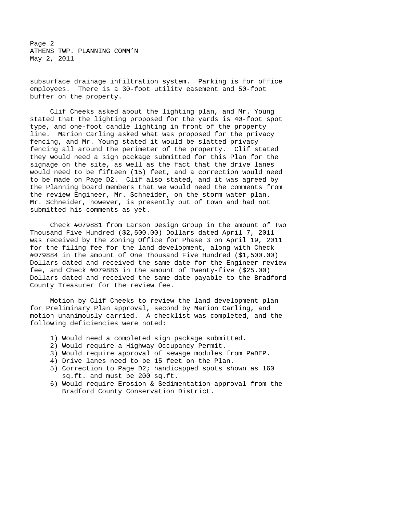Page 2 ATHENS TWP. PLANNING COMM'N May 2, 2011

subsurface drainage infiltration system. Parking is for office employees. There is a 30-foot utility easement and 50-foot buffer on the property.

Clif Cheeks asked about the lighting plan, and Mr. Young stated that the lighting proposed for the yards is 40-foot spot type, and one-foot candle lighting in front of the property line. Marion Carling asked what was proposed for the privacy fencing, and Mr. Young stated it would be slatted privacy fencing all around the perimeter of the property. Clif stated they would need a sign package submitted for this Plan for the signage on the site, as well as the fact that the drive lanes would need to be fifteen (15) feet, and a correction would need to be made on Page D2. Clif also stated, and it was agreed by the Planning board members that we would need the comments from the review Engineer, Mr. Schneider, on the storm water plan. Mr. Schneider, however, is presently out of town and had not submitted his comments as yet.

Check #079881 from Larson Design Group in the amount of Two Thousand Five Hundred (\$2,500.00) Dollars dated April 7, 2011 was received by the Zoning Office for Phase 3 on April 19, 2011 for the filing fee for the land development, along with Check #079884 in the amount of One Thousand Five Hundred (\$1,500.00) Dollars dated and received the same date for the Engineer review fee, and Check #079886 in the amount of Twenty-five (\$25.00) Dollars dated and received the same date payable to the Bradford County Treasurer for the review fee.

Motion by Clif Cheeks to review the land development plan for Preliminary Plan approval, second by Marion Carling, and motion unanimously carried. A checklist was completed, and the following deficiencies were noted:

- 1) Would need a completed sign package submitted.
- 2) Would require a Highway Occupancy Permit.
- 3) Would require approval of sewage modules from PaDEP.
- 4) Drive lanes need to be 15 feet on the Plan.
- 5) Correction to Page D2; handicapped spots shown as 160 sq.ft. and must be 200 sq.ft.
- 6) Would require Erosion & Sedimentation approval from the Bradford County Conservation District.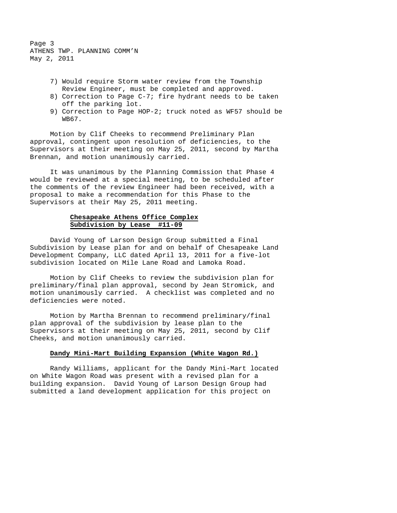Page 3 ATHENS TWP. PLANNING COMM'N May 2, 2011

- 7) Would require Storm water review from the Township Review Engineer, must be completed and approved.
- 8) Correction to Page C-7; fire hydrant needs to be taken off the parking lot.
- 9) Correction to Page HOP-2; truck noted as WF57 should be WB67.

Motion by Clif Cheeks to recommend Preliminary Plan approval, contingent upon resolution of deficiencies, to the Supervisors at their meeting on May 25, 2011, second by Martha Brennan, and motion unanimously carried.

It was unanimous by the Planning Commission that Phase 4 would be reviewed at a special meeting, to be scheduled after the comments of the review Engineer had been received, with a proposal to make a recommendation for this Phase to the Supervisors at their May 25, 2011 meeting.

# **Chesapeake Athens Office Complex Subdivision by Lease #11-09**

David Young of Larson Design Group submitted a Final Subdivision by Lease plan for and on behalf of Chesapeake Land Development Company, LLC dated April 13, 2011 for a five-lot subdivision located on Mile Lane Road and Lamoka Road.

Motion by Clif Cheeks to review the subdivision plan for preliminary/final plan approval, second by Jean Stromick, and motion unanimously carried. A checklist was completed and no deficiencies were noted.

Motion by Martha Brennan to recommend preliminary/final plan approval of the subdivision by lease plan to the Supervisors at their meeting on May 25, 2011, second by Clif Cheeks, and motion unanimously carried.

## **Dandy Mini-Mart Building Expansion (White Wagon Rd.)**

Randy Williams, applicant for the Dandy Mini-Mart located on White Wagon Road was present with a revised plan for a building expansion. David Young of Larson Design Group had submitted a land development application for this project on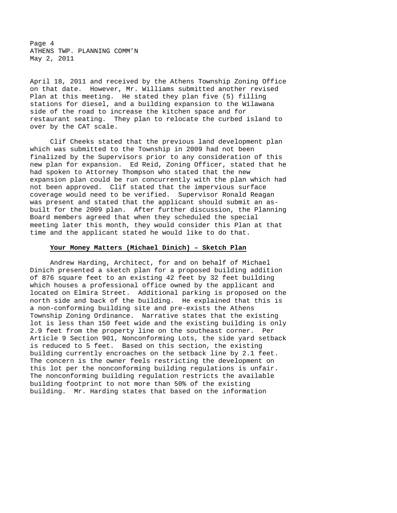Page 4 ATHENS TWP. PLANNING COMM'N May 2, 2011

April 18, 2011 and received by the Athens Township Zoning Office on that date. However, Mr. Williams submitted another revised Plan at this meeting. He stated they plan five (5) filling stations for diesel, and a building expansion to the Wilawana side of the road to increase the kitchen space and for restaurant seating. They plan to relocate the curbed island to over by the CAT scale.

Clif Cheeks stated that the previous land development plan which was submitted to the Township in 2009 had not been finalized by the Supervisors prior to any consideration of this new plan for expansion. Ed Reid, Zoning Officer, stated that he had spoken to Attorney Thompson who stated that the new expansion plan could be run concurrently with the plan which had not been approved. Clif stated that the impervious surface coverage would need to be verified. Supervisor Ronald Reagan was present and stated that the applicant should submit an asbuilt for the 2009 plan. After further discussion, the Planning Board members agreed that when they scheduled the special meeting later this month, they would consider this Plan at that time and the applicant stated he would like to do that.

#### **Your Money Matters (Michael Dinich) – Sketch Plan**

Andrew Harding, Architect, for and on behalf of Michael Dinich presented a sketch plan for a proposed building addition of 876 square feet to an existing 42 feet by 32 feet building which houses a professional office owned by the applicant and located on Elmira Street. Additional parking is proposed on the north side and back of the building. He explained that this is a non-conforming building site and pre-exists the Athens Township Zoning Ordinance. Narrative states that the existing lot is less than 150 feet wide and the existing building is only 2.9 feet from the property line on the southeast corner. Per Article 9 Section 901, Nonconforming Lots, the side yard setback is reduced to 5 feet. Based on this section, the existing building currently encroaches on the setback line by 2.1 feet. The concern is the owner feels restricting the development on this lot per the nonconforming building regulations is unfair. The nonconforming building regulation restricts the available building footprint to not more than 50% of the existing building. Mr. Harding states that based on the information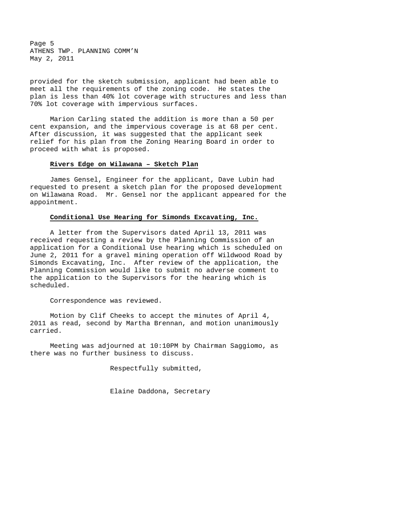Page 5 ATHENS TWP. PLANNING COMM'N May 2, 2011

provided for the sketch submission, applicant had been able to meet all the requirements of the zoning code. He states the plan is less than 40% lot coverage with structures and less than 70% lot coverage with impervious surfaces.

Marion Carling stated the addition is more than a 50 per cent expansion, and the impervious coverage is at 68 per cent. After discussion, it was suggested that the applicant seek relief for his plan from the Zoning Hearing Board in order to proceed with what is proposed.

#### **Rivers Edge on Wilawana – Sketch Plan**

James Gensel, Engineer for the applicant, Dave Lubin had requested to present a sketch plan for the proposed development on Wilawana Road. Mr. Gensel nor the applicant appeared for the appointment.

## **Conditional Use Hearing for Simonds Excavating, Inc.**

A letter from the Supervisors dated April 13, 2011 was received requesting a review by the Planning Commission of an application for a Conditional Use hearing which is scheduled on June 2, 2011 for a gravel mining operation off Wildwood Road by Simonds Excavating, Inc. After review of the application, the Planning Commission would like to submit no adverse comment to the application to the Supervisors for the hearing which is scheduled.

Correspondence was reviewed.

Motion by Clif Cheeks to accept the minutes of April 4, 2011 as read, second by Martha Brennan, and motion unanimously carried.

Meeting was adjourned at 10:10PM by Chairman Saggiomo, as there was no further business to discuss.

Respectfully submitted,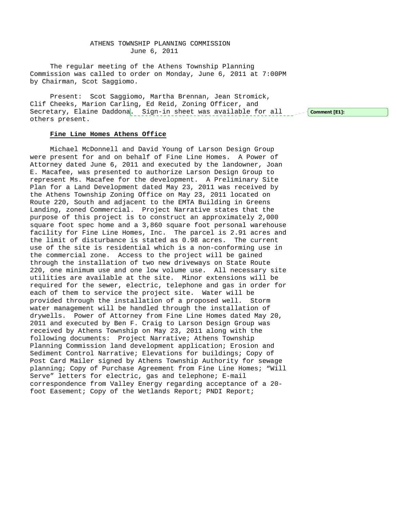## ATHENS TOWNSHIP PLANNING COMMISSION June 6, 2011

The regular meeting of the Athens Township Planning Commission was called to order on Monday, June 6, 2011 at 7:00PM by Chairman, Scot Saggiomo.

Present: Scot Saggiomo, Martha Brennan, Jean Stromick, Clif Cheeks, Marion Carling, Ed Reid, Zoning Officer, and Secretary, Elaine Daddona. Sign-in sheet was available for all others present.  $\sim$  -  $\sim$   $\sim$  Comment [E1]:

## **Fine Line Homes Athens Office**

Michael McDonnell and David Young of Larson Design Group were present for and on behalf of Fine Line Homes. A Power of Attorney dated June 6, 2011 and executed by the landowner, Joan E. Macafee, was presented to authorize Larson Design Group to represent Ms. Macafee for the development. A Preliminary Site Plan for a Land Development dated May 23, 2011 was received by the Athens Township Zoning Office on May 23, 2011 located on Route 220, South and adjacent to the EMTA Building in Greens Landing, zoned Commercial. Project Narrative states that the purpose of this project is to construct an approximately 2,000 square foot spec home and a 3,860 square foot personal warehouse facility for Fine Line Homes, Inc. The parcel is 2.91 acres and the limit of disturbance is stated as 0.98 acres. The current use of the site is residential which is a non-conforming use in the commercial zone. Access to the project will be gained through the installation of two new driveways on State Route 220, one minimum use and one low volume use. All necessary site utilities are available at the site. Minor extensions will be required for the sewer, electric, telephone and gas in order for each of them to service the project site. Water will be provided through the installation of a proposed well. Storm water management will be handled through the installation of drywells. Power of Attorney from Fine Line Homes dated May 20, 2011 and executed by Ben F. Craig to Larson Design Group was received by Athens Township on May 23, 2011 along with the following documents: Project Narrative; Athens Township Planning Commission land development application; Erosion and Sediment Control Narrative; Elevations for buildings; Copy of Post Card Mailer signed by Athens Township Authority for sewage planning; Copy of Purchase Agreement from Fine Line Homes; "Will Serve" letters for electric, gas and telephone; E-mail correspondence from Valley Energy regarding acceptance of a 20 foot Easement; Copy of the Wetlands Report; PNDI Report;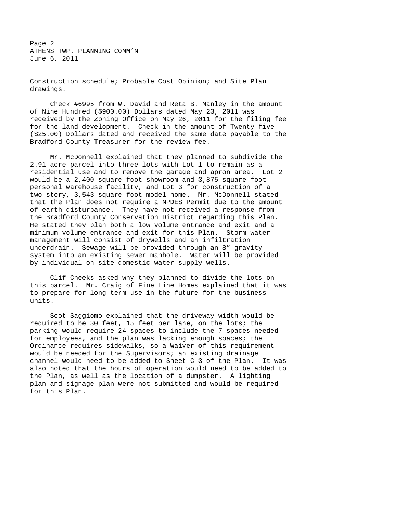Page 2 ATHENS TWP. PLANNING COMM'N June 6, 2011

Construction schedule; Probable Cost Opinion; and Site Plan drawings.

Check #6995 from W. David and Reta B. Manley in the amount of Nine Hundred (\$900.00) Dollars dated May 23, 2011 was received by the Zoning Office on May 26, 2011 for the filing fee for the land development. Check in the amount of Twenty-five (\$25.00) Dollars dated and received the same date payable to the Bradford County Treasurer for the review fee.

Mr. McDonnell explained that they planned to subdivide the 2.91 acre parcel into three lots with Lot 1 to remain as a residential use and to remove the garage and apron area. Lot 2 would be a 2,400 square foot showroom and 3,875 square foot personal warehouse facility, and Lot 3 for construction of a two-story, 3,543 square foot model home. Mr. McDonnell stated that the Plan does not require a NPDES Permit due to the amount of earth disturbance. They have not received a response from the Bradford County Conservation District regarding this Plan. He stated they plan both a low volume entrance and exit and a minimum volume entrance and exit for this Plan. Storm water management will consist of drywells and an infiltration underdrain. Sewage will be provided through an 8" gravity system into an existing sewer manhole. Water will be provided by individual on-site domestic water supply wells.

 Clif Cheeks asked why they planned to divide the lots on this parcel. Mr. Craig of Fine Line Homes explained that it was to prepare for long term use in the future for the business units.

 Scot Saggiomo explained that the driveway width would be required to be 30 feet, 15 feet per lane, on the lots; the parking would require 24 spaces to include the 7 spaces needed for employees, and the plan was lacking enough spaces; the Ordinance requires sidewalks, so a Waiver of this requirement would be needed for the Supervisors; an existing drainage channel would need to be added to Sheet C-3 of the Plan. It was also noted that the hours of operation would need to be added to the Plan, as well as the location of a dumpster. A lighting plan and signage plan were not submitted and would be required for this Plan.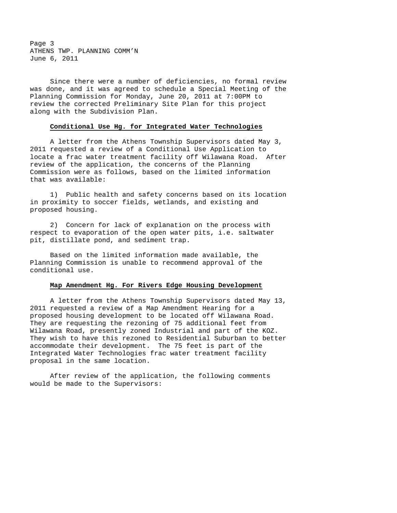Page 3 ATHENS TWP. PLANNING COMM'N June 6, 2011

 Since there were a number of deficiencies, no formal review was done, and it was agreed to schedule a Special Meeting of the Planning Commission for Monday, June 20, 2011 at 7:00PM to review the corrected Preliminary Site Plan for this project along with the Subdivision Plan.

## **Conditional Use Hg. for Integrated Water Technologies**

 A letter from the Athens Township Supervisors dated May 3, 2011 requested a review of a Conditional Use Application to locate a frac water treatment facility off Wilawana Road. After review of the application, the concerns of the Planning Commission were as follows, based on the limited information that was available:

 1) Public health and safety concerns based on its location in proximity to soccer fields, wetlands, and existing and proposed housing.

 2) Concern for lack of explanation on the process with respect to evaporation of the open water pits, i.e. saltwater pit, distillate pond, and sediment trap.

 Based on the limited information made available, the Planning Commission is unable to recommend approval of the conditional use.

#### **Map Amendment Hg. For Rivers Edge Housing Development**

 A letter from the Athens Township Supervisors dated May 13, 2011 requested a review of a Map Amendment Hearing for a proposed housing development to be located off Wilawana Road. They are requesting the rezoning of 75 additional feet from Wilawana Road, presently zoned Industrial and part of the KOZ. They wish to have this rezoned to Residential Suburban to better accommodate their development. The 75 feet is part of the Integrated Water Technologies frac water treatment facility proposal in the same location.

 After review of the application, the following comments would be made to the Supervisors: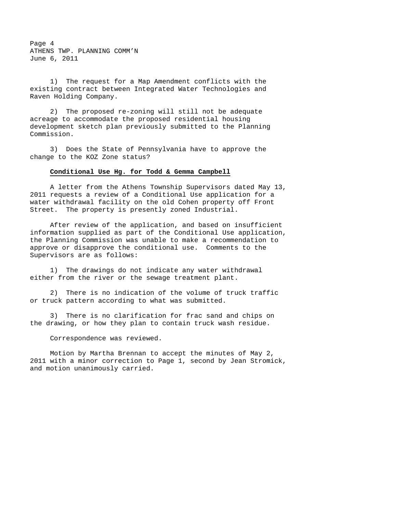Page 4 ATHENS TWP. PLANNING COMM'N June 6, 2011

 1) The request for a Map Amendment conflicts with the existing contract between Integrated Water Technologies and Raven Holding Company.

 2) The proposed re-zoning will still not be adequate acreage to accommodate the proposed residential housing development sketch plan previously submitted to the Planning Commission.

 3) Does the State of Pennsylvania have to approve the change to the KOZ Zone status?

#### **Conditional Use Hg. for Todd & Gemma Campbell**

 A letter from the Athens Township Supervisors dated May 13, 2011 requests a review of a Conditional Use application for a water withdrawal facility on the old Cohen property off Front Street. The property is presently zoned Industrial.

 After review of the application, and based on insufficient information supplied as part of the Conditional Use application, the Planning Commission was unable to make a recommendation to approve or disapprove the conditional use. Comments to the Supervisors are as follows:

 1) The drawings do not indicate any water withdrawal either from the river or the sewage treatment plant.

 2) There is no indication of the volume of truck traffic or truck pattern according to what was submitted.

 3) There is no clarification for frac sand and chips on the drawing, or how they plan to contain truck wash residue.

Correspondence was reviewed.

Motion by Martha Brennan to accept the minutes of May 2, 2011 with a minor correction to Page 1, second by Jean Stromick, and motion unanimously carried.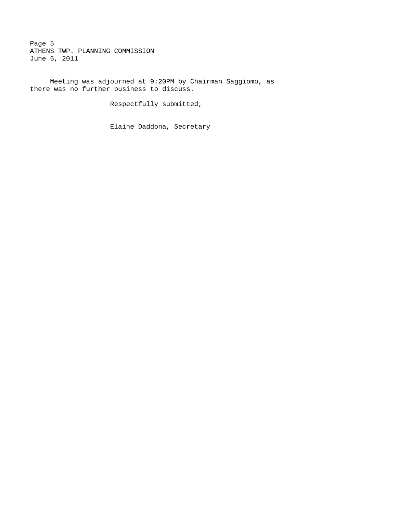Page 5 ATHENS TWP. PLANNING COMMISSION June 6, 2011

Meeting was adjourned at 9:20PM by Chairman Saggiomo, as there was no further business to discuss.

Respectfully submitted,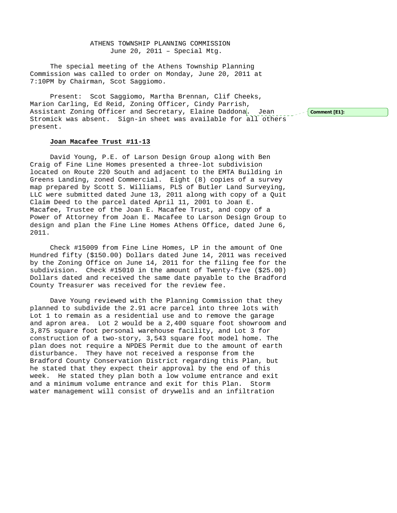ATHENS TOWNSHIP PLANNING COMMISSION June 20, 2011 – Special Mtg.

The special meeting of the Athens Township Planning Commission was called to order on Monday, June 20, 2011 at 7:10PM by Chairman, Scot Saggiomo.

Present: Scot Saggiomo, Martha Brennan, Clif Cheeks, Marion Carling, Ed Reid, Zoning Officer, Cindy Parrish, Assistant Zoning Officer and Secretary, Elaine Daddona. Jean Stromick was absent. Sign-in sheet was available for all others present.

## **Joan Macafee Trust #11-13**

David Young, P.E. of Larson Design Group along with Ben Craig of Fine Line Homes presented a three-lot subdivision located on Route 220 South and adjacent to the EMTA Building in Greens Landing, zoned Commercial. Eight (8) copies of a survey map prepared by Scott S. Williams, PLS of Butler Land Surveying, LLC were submitted dated June 13, 2011 along with copy of a Quit Claim Deed to the parcel dated April 11, 2001 to Joan E. Macafee, Trustee of the Joan E. Macafee Trust, and copy of a Power of Attorney from Joan E. Macafee to Larson Design Group to design and plan the Fine Line Homes Athens Office, dated June 6, 2011.

Check #15009 from Fine Line Homes, LP in the amount of One Hundred fifty (\$150.00) Dollars dated June 14, 2011 was received by the Zoning Office on June 14, 2011 for the filing fee for the subdivision. Check #15010 in the amount of Twenty-five (\$25.00) Dollars dated and received the same date payable to the Bradford County Treasurer was received for the review fee.

Dave Young reviewed with the Planning Commission that they planned to subdivide the 2.91 acre parcel into three lots with Lot 1 to remain as a residential use and to remove the garage and apron area. Lot 2 would be a 2,400 square foot showroom and 3,875 square foot personal warehouse facility, and Lot 3 for construction of a two-story, 3,543 square foot model home. The plan does not require a NPDES Permit due to the amount of earth disturbance. They have not received a response from the Bradford County Conservation District regarding this Plan, but he stated that they expect their approval by the end of this week. He stated they plan both a low volume entrance and exit and a minimum volume entrance and exit for this Plan. Storm water management will consist of drywells and an infiltration

Comment [E1]: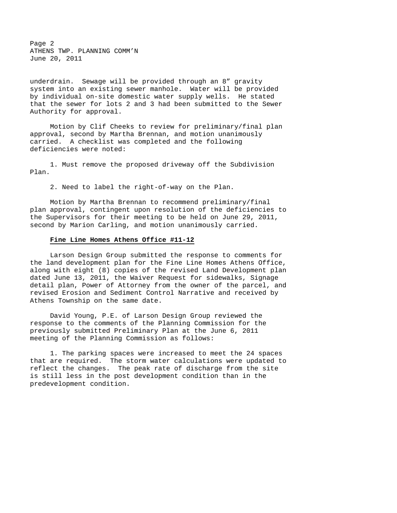Page 2 ATHENS TWP. PLANNING COMM'N June 20, 2011

underdrain. Sewage will be provided through an 8" gravity system into an existing sewer manhole. Water will be provided by individual on-site domestic water supply wells. He stated that the sewer for lots 2 and 3 had been submitted to the Sewer Authority for approval.

Motion by Clif Cheeks to review for preliminary/final plan approval, second by Martha Brennan, and motion unanimously carried. A checklist was completed and the following deficiencies were noted:

1. Must remove the proposed driveway off the Subdivision Plan.

2. Need to label the right-of-way on the Plan.

Motion by Martha Brennan to recommend preliminary/final plan approval, contingent upon resolution of the deficiencies to the Supervisors for their meeting to be held on June 29, 2011, second by Marion Carling, and motion unanimously carried.

### **Fine Line Homes Athens Office #11-12**

Larson Design Group submitted the response to comments for the land development plan for the Fine Line Homes Athens Office, along with eight (8) copies of the revised Land Development plan dated June 13, 2011, the Waiver Request for sidewalks, Signage detail plan, Power of Attorney from the owner of the parcel, and revised Erosion and Sediment Control Narrative and received by Athens Township on the same date.

David Young, P.E. of Larson Design Group reviewed the response to the comments of the Planning Commission for the previously submitted Preliminary Plan at the June 6, 2011 meeting of the Planning Commission as follows:

1. The parking spaces were increased to meet the 24 spaces that are required. The storm water calculations were updated to reflect the changes. The peak rate of discharge from the site is still less in the post development condition than in the predevelopment condition.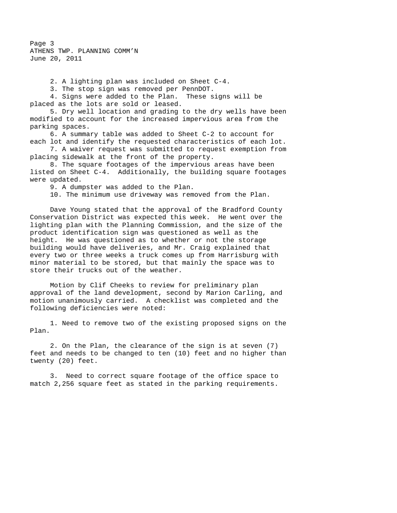Page 3 ATHENS TWP. PLANNING COMM'N June 20, 2011

2. A lighting plan was included on Sheet C-4.

3. The stop sign was removed per PennDOT.

4. Signs were added to the Plan. These signs will be placed as the lots are sold or leased.

5. Dry well location and grading to the dry wells have been modified to account for the increased impervious area from the parking spaces.

6. A summary table was added to Sheet C-2 to account for each lot and identify the requested characteristics of each lot.

7. A waiver request was submitted to request exemption from placing sidewalk at the front of the property.

8. The square footages of the impervious areas have been listed on Sheet C-4. Additionally, the building square footages were updated.

9. A dumpster was added to the Plan.

10. The minimum use driveway was removed from the Plan.

Dave Young stated that the approval of the Bradford County Conservation District was expected this week. He went over the lighting plan with the Planning Commission, and the size of the product identification sign was questioned as well as the height. He was questioned as to whether or not the storage building would have deliveries, and Mr. Craig explained that every two or three weeks a truck comes up from Harrisburg with minor material to be stored, but that mainly the space was to store their trucks out of the weather.

Motion by Clif Cheeks to review for preliminary plan approval of the land development, second by Marion Carling, and motion unanimously carried. A checklist was completed and the following deficiencies were noted:

1. Need to remove two of the existing proposed signs on the Plan.

2. On the Plan, the clearance of the sign is at seven (7) feet and needs to be changed to ten (10) feet and no higher than twenty (20) feet.

3. Need to correct square footage of the office space to match 2,256 square feet as stated in the parking requirements.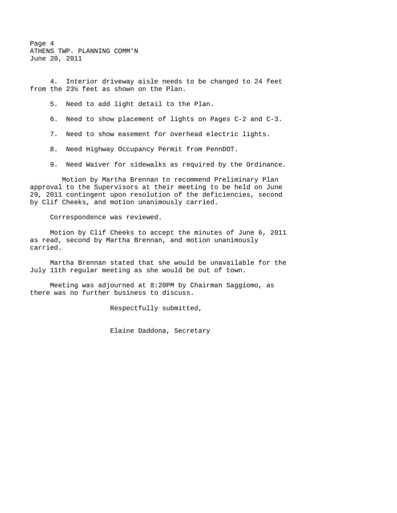Page 4 ATHENS TWP. PLANNING COMM'N June 20, 2011

4. Interior driveway aisle needs to be changed to 24 feet from the 23½ feet as shown on the Plan.

5. Need to add light detail to the Plan.

6. Need to show placement of lights on Pages C-2 and C-3.

7. Need to show easement for overhead electric lights.

8. Need Highway Occupancy Permit from PennDOT.

9. Need Waiver for sidewalks as required by the Ordinance.

 Motion by Martha Brennan to recommend Preliminary Plan approval to the Supervisors at their meeting to be held on June 29, 2011 contingent upon resolution of the deficiencies, second by Clif Cheeks, and motion unanimously carried.

Correspondence was reviewed.

Motion by Clif Cheeks to accept the minutes of June 6, 2011 as read, second by Martha Brennan, and motion unanimously carried.

Martha Brennan stated that she would be unavailable for the July 11th regular meeting as she would be out of town.

Meeting was adjourned at 8:20PM by Chairman Saggiomo, as there was no further business to discuss.

Respectfully submitted,

Elaine Daddona, Secretary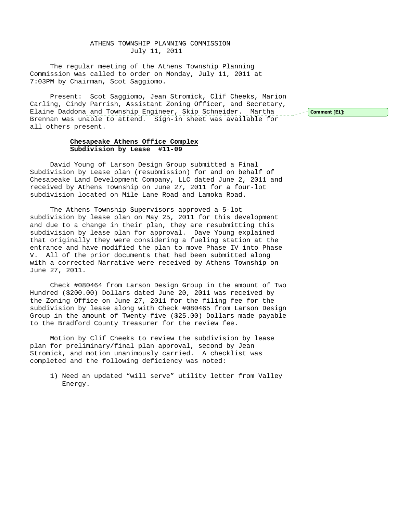## ATHENS TOWNSHIP PLANNING COMMISSION July 11, 2011

The regular meeting of the Athens Township Planning Commission was called to order on Monday, July 11, 2011 at 7:03PM by Chairman, Scot Saggiomo.

Present: Scot Saggiomo, Jean Stromick, Clif Cheeks, Marion Carling, Cindy Parrish, Assistant Zoning Officer, and Secretary, Elaine Daddona and Township Engineer, Skip Schneider. Martha Brennan was unable to attend. Sign-in sheet was available for all others present.

 $\sim$  Comment [E1]:

## **Chesapeake Athens Office Complex Subdivision by Lease #11-09**

David Young of Larson Design Group submitted a Final Subdivision by Lease plan (resubmission) for and on behalf of Chesapeake Land Development Company, LLC dated June 2, 2011 and received by Athens Township on June 27, 2011 for a four-lot subdivision located on Mile Lane Road and Lamoka Road.

The Athens Township Supervisors approved a 5-lot subdivision by lease plan on May 25, 2011 for this development and due to a change in their plan, they are resubmitting this subdivision by lease plan for approval. Dave Young explained that originally they were considering a fueling station at the entrance and have modified the plan to move Phase IV into Phase V. All of the prior documents that had been submitted along with a corrected Narrative were received by Athens Township on June 27, 2011.

Check #080464 from Larson Design Group in the amount of Two Hundred (\$200.00) Dollars dated June 20, 2011 was received by the Zoning Office on June 27, 2011 for the filing fee for the subdivision by lease along with Check #080465 from Larson Design Group in the amount of Twenty-five (\$25.00) Dollars made payable to the Bradford County Treasurer for the review fee.

Motion by Clif Cheeks to review the subdivision by lease plan for preliminary/final plan approval, second by Jean Stromick, and motion unanimously carried. A checklist was completed and the following deficiency was noted:

1) Need an updated "will serve" utility letter from Valley Energy.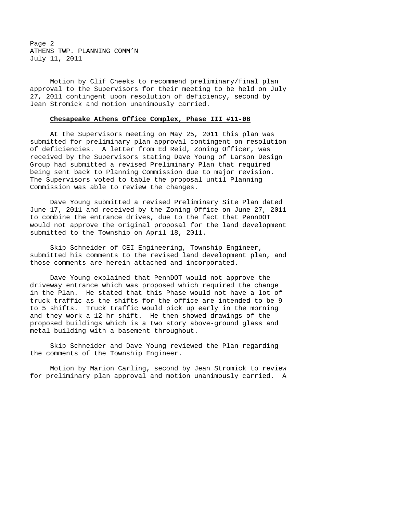Page 2 ATHENS TWP. PLANNING COMM'N July 11, 2011

Motion by Clif Cheeks to recommend preliminary/final plan approval to the Supervisors for their meeting to be held on July 27, 2011 contingent upon resolution of deficiency, second by Jean Stromick and motion unanimously carried.

### **Chesapeake Athens Office Complex, Phase III #11-08**

At the Supervisors meeting on May 25, 2011 this plan was submitted for preliminary plan approval contingent on resolution of deficiencies. A letter from Ed Reid, Zoning Officer, was received by the Supervisors stating Dave Young of Larson Design Group had submitted a revised Preliminary Plan that required being sent back to Planning Commission due to major revision. The Supervisors voted to table the proposal until Planning Commission was able to review the changes.

Dave Young submitted a revised Preliminary Site Plan dated June 17, 2011 and received by the Zoning Office on June 27, 2011 to combine the entrance drives, due to the fact that PennDOT would not approve the original proposal for the land development submitted to the Township on April 18, 2011.

Skip Schneider of CEI Engineering, Township Engineer, submitted his comments to the revised land development plan, and those comments are herein attached and incorporated.

Dave Young explained that PennDOT would not approve the driveway entrance which was proposed which required the change in the Plan. He stated that this Phase would not have a lot of truck traffic as the shifts for the office are intended to be 9 to 5 shifts. Truck traffic would pick up early in the morning and they work a 12-hr shift. He then showed drawings of the proposed buildings which is a two story above-ground glass and metal building with a basement throughout.

Skip Schneider and Dave Young reviewed the Plan regarding the comments of the Township Engineer.

Motion by Marion Carling, second by Jean Stromick to review for preliminary plan approval and motion unanimously carried. A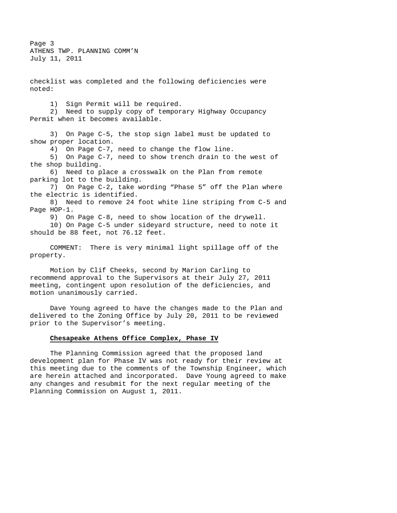Page 3 ATHENS TWP. PLANNING COMM'N July 11, 2011

checklist was completed and the following deficiencies were noted: 1) Sign Permit will be required. 2) Need to supply copy of temporary Highway Occupancy Permit when it becomes available. 3) On Page C-5, the stop sign label must be updated to show proper location. 4) On Page C-7, need to change the flow line. 5) On Page C-7, need to show trench drain to the west of the shop building. 6) Need to place a crosswalk on the Plan from remote parking lot to the building. 7) On Page C-2, take wording "Phase 5" off the Plan where the electric is identified. 8) Need to remove 24 foot white line striping from C-5 and Page HOP-1. 9) On Page C-8, need to show location of the drywell. 10) On Page C-5 under sideyard structure, need to note it should be 88 feet, not 76.12 feet. COMMENT: There is very minimal light spillage off of the property.

Motion by Clif Cheeks, second by Marion Carling to recommend approval to the Supervisors at their July 27, 2011 meeting, contingent upon resolution of the deficiencies, and motion unanimously carried.

Dave Young agreed to have the changes made to the Plan and delivered to the Zoning Office by July 20, 2011 to be reviewed prior to the Supervisor's meeting.

# **Chesapeake Athens Office Complex, Phase IV**

The Planning Commission agreed that the proposed land development plan for Phase IV was not ready for their review at this meeting due to the comments of the Township Engineer, which are herein attached and incorporated. Dave Young agreed to make any changes and resubmit for the next regular meeting of the Planning Commission on August 1, 2011.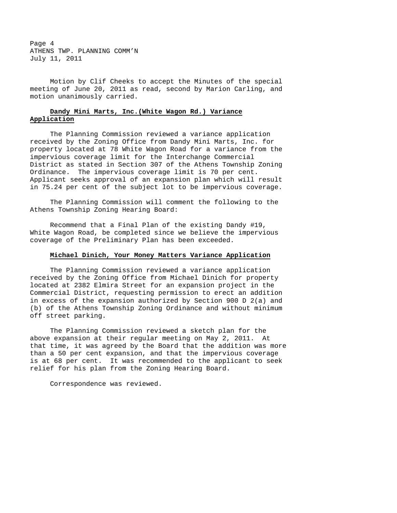Page 4 ATHENS TWP. PLANNING COMM'N July 11, 2011

Motion by Clif Cheeks to accept the Minutes of the special meeting of June 20, 2011 as read, second by Marion Carling, and motion unanimously carried.

## **Dandy Mini Marts, Inc.(White Wagon Rd.) Variance Application**

The Planning Commission reviewed a variance application received by the Zoning Office from Dandy Mini Marts, Inc. for property located at 78 White Wagon Road for a variance from the impervious coverage limit for the Interchange Commercial District as stated in Section 307 of the Athens Township Zoning Ordinance. The impervious coverage limit is 70 per cent. Applicant seeks approval of an expansion plan which will result in 75.24 per cent of the subject lot to be impervious coverage.

The Planning Commission will comment the following to the Athens Township Zoning Hearing Board:

Recommend that a Final Plan of the existing Dandy #19, White Wagon Road, be completed since we believe the impervious coverage of the Preliminary Plan has been exceeded.

### **Michael Dinich, Your Money Matters Variance Application**

The Planning Commission reviewed a variance application received by the Zoning Office from Michael Dinich for property located at 2382 Elmira Street for an expansion project in the Commercial District, requesting permission to erect an addition in excess of the expansion authorized by Section 900 D 2(a) and (b) of the Athens Township Zoning Ordinance and without minimum off street parking.

The Planning Commission reviewed a sketch plan for the above expansion at their regular meeting on May 2, 2011. At that time, it was agreed by the Board that the addition was more than a 50 per cent expansion, and that the impervious coverage is at 68 per cent. It was recommended to the applicant to seek relief for his plan from the Zoning Hearing Board.

Correspondence was reviewed.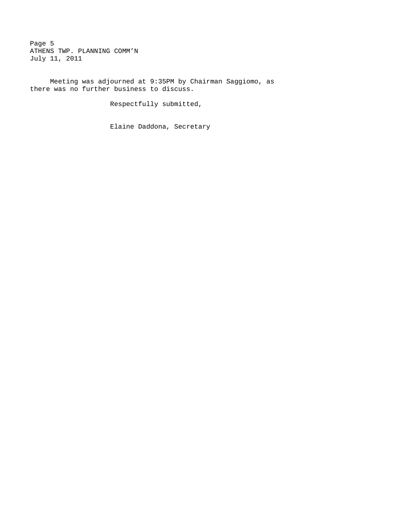Page 5 ATHENS TWP. PLANNING COMM'N July 11, 2011

Meeting was adjourned at 9:35PM by Chairman Saggiomo, as there was no further business to discuss.

Respectfully submitted,

Elaine Daddona, Secretary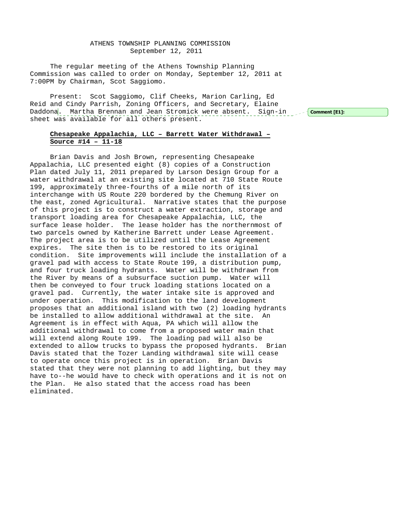## ATHENS TOWNSHIP PLANNING COMMISSION September 12, 2011

The regular meeting of the Athens Township Planning Commission was called to order on Monday, September 12, 2011 at 7:00PM by Chairman, Scot Saggiomo.

Present: Scot Saggiomo, Clif Cheeks, Marion Carling, Ed Reid and Cindy Parrish, Zoning Officers, and Secretary, Elaine Daddona<mark>. Martha Brennan and Jean Stromick were absent. Sign-in Joef Comment[E1]:</mark> sheet was available for all others present.

# **Chesapeake Appalachia, LLC – Barrett Water Withdrawal – Source #14 – 11-18**

Brian Davis and Josh Brown, representing Chesapeake Appalachia, LLC presented eight (8) copies of a Construction Plan dated July 11, 2011 prepared by Larson Design Group for a water withdrawal at an existing site located at 710 State Route 199, approximately three-fourths of a mile north of its interchange with US Route 220 bordered by the Chemung River on the east, zoned Agricultural. Narrative states that the purpose of this project is to construct a water extraction, storage and transport loading area for Chesapeake Appalachia, LLC, the surface lease holder. The lease holder has the northernmost of two parcels owned by Katherine Barrett under Lease Agreement. The project area is to be utilized until the Lease Agreement expires. The site then is to be restored to its original condition. Site improvements will include the installation of a gravel pad with access to State Route 199, a distribution pump, and four truck loading hydrants. Water will be withdrawn from the River by means of a subsurface suction pump. Water will then be conveyed to four truck loading stations located on a gravel pad. Currently, the water intake site is approved and under operation. This modification to the land development proposes that an additional island with two (2) loading hydrants be installed to allow additional withdrawal at the site. An Agreement is in effect with Aqua, PA which will allow the additional withdrawal to come from a proposed water main that will extend along Route 199. The loading pad will also be extended to allow trucks to bypass the proposed hydrants. Brian Davis stated that the Tozer Landing withdrawal site will cease to operate once this project is in operation. Brian Davis stated that they were not planning to add lighting, but they may have to--he would have to check with operations and it is not on the Plan. He also stated that the access road has been eliminated.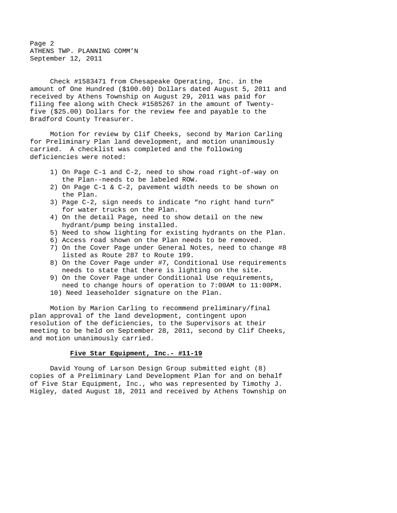Page 2 ATHENS TWP. PLANNING COMM'N September 12, 2011

Check #1583471 from Chesapeake Operating, Inc. in the amount of One Hundred (\$100.00) Dollars dated August 5, 2011 and received by Athens Township on August 29, 2011 was paid for filing fee along with Check #1585267 in the amount of Twentyfive (\$25.00) Dollars for the review fee and payable to the Bradford County Treasurer.

Motion for review by Clif Cheeks, second by Marion Carling for Preliminary Plan land development, and motion unanimously carried. A checklist was completed and the following deficiencies were noted:

- 1) On Page C-1 and C-2, need to show road right-of-way on the Plan--needs to be labeled ROW.
- 2) On Page C-1 & C-2, pavement width needs to be shown on the Plan.
- 3) Page C-2, sign needs to indicate "no right hand turn" for water trucks on the Plan.
- 4) On the detail Page, need to show detail on the new hydrant/pump being installed.
- 5) Need to show lighting for existing hydrants on the Plan.
- 6) Access road shown on the Plan needs to be removed.
- 7) On the Cover Page under General Notes, need to change #8 listed as Route 287 to Route 199.
- 8) On the Cover Page under #7, Conditional Use requirements needs to state that there is lighting on the site.
- 9) On the Cover Page under Conditional Use requirements, need to change hours of operation to 7:00AM to 11:00PM.
- 10) Need leaseholder signature on the Plan.

Motion by Marion Carling to recommend preliminary/final plan approval of the land development, contingent upon resolution of the deficiencies, to the Supervisors at their meeting to be held on September 28, 2011, second by Clif Cheeks, and motion unanimously carried.

### **Five Star Equipment, Inc.- #11-19**

David Young of Larson Design Group submitted eight (8) copies of a Preliminary Land Development Plan for and on behalf of Five Star Equipment, Inc., who was represented by Timothy J. Higley, dated August 18, 2011 and received by Athens Township on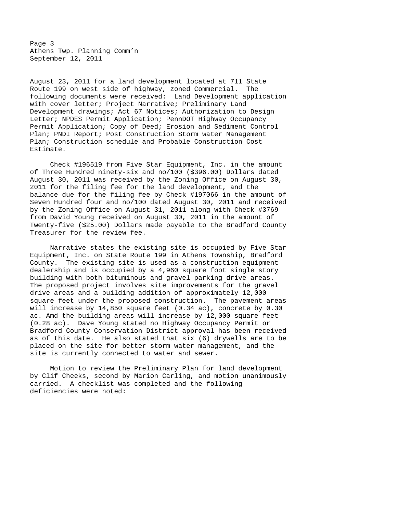Page 3 Athens Twp. Planning Comm'n September 12, 2011

August 23, 2011 for a land development located at 711 State Route 199 on west side of highway, zoned Commercial. The following documents were received: Land Development application with cover letter; Project Narrative; Preliminary Land Development drawings; Act 67 Notices; Authorization to Design Letter; NPDES Permit Application; PennDOT Highway Occupancy Permit Application; Copy of Deed; Erosion and Sediment Control Plan; PNDI Report; Post Construction Storm water Management Plan; Construction schedule and Probable Construction Cost Estimate.

Check #196519 from Five Star Equipment, Inc. in the amount of Three Hundred ninety-six and no/100 (\$396.00) Dollars dated August 30, 2011 was received by the Zoning Office on August 30, 2011 for the filing fee for the land development, and the balance due for the filing fee by Check #197066 in the amount of Seven Hundred four and no/100 dated August 30, 2011 and received by the Zoning Office on August 31, 2011 along with Check #3769 from David Young received on August 30, 2011 in the amount of Twenty-five (\$25.00) Dollars made payable to the Bradford County Treasurer for the review fee.

Narrative states the existing site is occupied by Five Star Equipment, Inc. on State Route 199 in Athens Township, Bradford County. The existing site is used as a construction equipment dealership and is occupied by a 4,960 square foot single story building with both bituminous and gravel parking drive areas. The proposed project involves site improvements for the gravel drive areas and a building addition of approximately 12,000 square feet under the proposed construction. The pavement areas will increase by 14,850 square feet (0.34 ac), concrete by 0.30 ac. Amd the building areas will increase by 12,000 square feet (0.28 ac). Dave Young stated no Highway Occupancy Permit or Bradford County Conservation District approval has been received as of this date. He also stated that six (6) drywells are to be placed on the site for better storm water management, and the site is currently connected to water and sewer.

Motion to review the Preliminary Plan for land development by Clif Cheeks, second by Marion Carling, and motion unanimously carried. A checklist was completed and the following deficiencies were noted: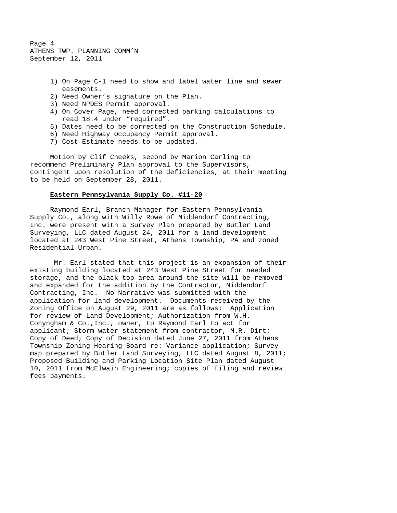Page 4 ATHENS TWP. PLANNING COMM'N September 12, 2011

- 1) On Page C-1 need to show and label water line and sewer easements.
- 2) Need Owner's signature on the Plan.
- 3) Need NPDES Permit approval.
- 4) On Cover Page, need corrected parking calculations to read 18.4 under "required".
- 5) Dates need to be corrected on the Construction Schedule.
- 6) Need Highway Occupancy Permit approval.
- 7) Cost Estimate needs to be updated.

Motion by Clif Cheeks, second by Marion Carling to recommend Preliminary Plan approval to the Supervisors, contingent upon resolution of the deficiencies, at their meeting to be held on September 28, 2011.

#### **Eastern Pennsylvania Supply Co. #11-20**

Raymond Earl, Branch Manager for Eastern Pennsylvania Supply Co., along with Willy Rowe of Middendorf Contracting, Inc. were present with a Survey Plan prepared by Butler Land Surveying, LLC dated August 24, 2011 for a land development located at 243 West Pine Street, Athens Township, PA and zoned Residential Urban.

 Mr. Earl stated that this project is an expansion of their existing building located at 243 West Pine Street for needed storage, and the black top area around the site will be removed and expanded for the addition by the Contractor, Middendorf Contracting, Inc. No Narrative was submitted with the application for land development. Documents received by the Zoning Office on August 29, 2011 are as follows: Application for review of Land Development; Authorization from W.H. Conyngham & Co.,Inc., owner, to Raymond Earl to act for applicant; Storm water statement from contractor, M.R. Dirt; Copy of Deed; Copy of Decision dated June 27, 2011 from Athens Township Zoning Hearing Board re: Variance application; Survey map prepared by Butler Land Surveying, LLC dated August 8, 2011; Proposed Building and Parking Location Site Plan dated August 10, 2011 from McElwain Engineering; copies of filing and review fees payments.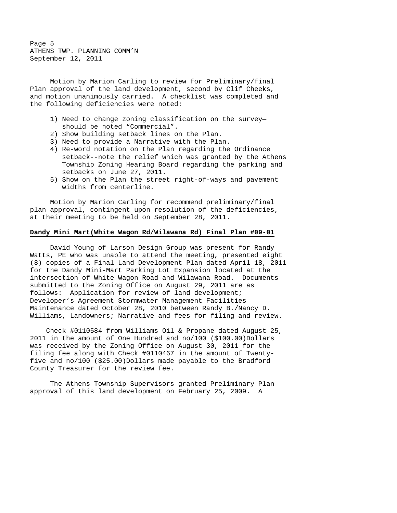Page 5 ATHENS TWP. PLANNING COMM'N September 12, 2011

Motion by Marion Carling to review for Preliminary/final Plan approval of the land development, second by Clif Cheeks, and motion unanimously carried. A checklist was completed and the following deficiencies were noted:

- 1) Need to change zoning classification on the survey should be noted "Commercial".
- 2) Show building setback lines on the Plan.
- 3) Need to provide a Narrative with the Plan.
- 4) Re-word notation on the Plan regarding the Ordinance setback--note the relief which was granted by the Athens Township Zoning Hearing Board regarding the parking and setbacks on June 27, 2011.
- 5) Show on the Plan the street right-of-ways and pavement widths from centerline.

Motion by Marion Carling for recommend preliminary/final plan approval, contingent upon resolution of the deficiencies, at their meeting to be held on September 28, 2011.

## **Dandy Mini Mart(White Wagon Rd/Wilawana Rd) Final Plan #09-01**

 David Young of Larson Design Group was present for Randy Watts, PE who was unable to attend the meeting, presented eight (8) copies of a Final Land Development Plan dated April 18, 2011 for the Dandy Mini-Mart Parking Lot Expansion located at the intersection of White Wagon Road and Wilawana Road. Documents submitted to the Zoning Office on August 29, 2011 are as follows: Application for review of land development; Developer's Agreement Stormwater Management Facilities Maintenance dated October 28, 2010 between Randy B./Nancy D. Williams, Landowners; Narrative and fees for filing and review.

 Check #0110584 from Williams Oil & Propane dated August 25, 2011 in the amount of One Hundred and no/100 (\$100.00)Dollars was received by the Zoning Office on August 30, 2011 for the filing fee along with Check #0110467 in the amount of Twentyfive and no/100 (\$25.00)Dollars made payable to the Bradford County Treasurer for the review fee.

 The Athens Township Supervisors granted Preliminary Plan approval of this land development on February 25, 2009. A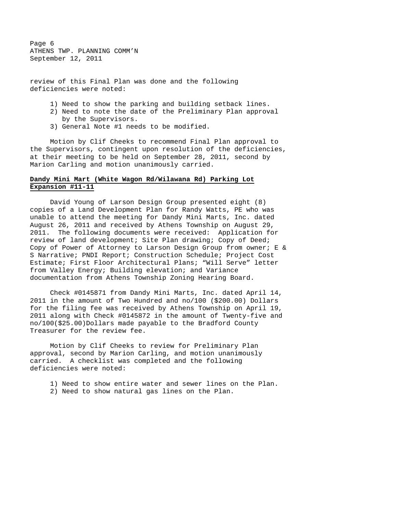Page 6 ATHENS TWP. PLANNING COMM'N September 12, 2011

review of this Final Plan was done and the following deficiencies were noted:

- 1) Need to show the parking and building setback lines.
- 2) Need to note the date of the Preliminary Plan approval by the Supervisors.
- 3) General Note #1 needs to be modified.

 Motion by Clif Cheeks to recommend Final Plan approval to the Supervisors, contingent upon resolution of the deficiencies, at their meeting to be held on September 28, 2011, second by Marion Carling and motion unanimously carried.

## **Dandy Mini Mart (White Wagon Rd/Wilawana Rd) Parking Lot Expansion #11-11**

 David Young of Larson Design Group presented eight (8) copies of a Land Development Plan for Randy Watts, PE who was unable to attend the meeting for Dandy Mini Marts, Inc. dated August 26, 2011 and received by Athens Township on August 29, 2011. The following documents were received: Application for review of land development; Site Plan drawing; Copy of Deed; Copy of Power of Attorney to Larson Design Group from owner; E & S Narrative; PNDI Report; Construction Schedule; Project Cost Estimate; First Floor Architectural Plans; "Will Serve" letter from Valley Energy; Building elevation; and Variance documentation from Athens Township Zoning Hearing Board.

 Check #0145871 from Dandy Mini Marts, Inc. dated April 14, 2011 in the amount of Two Hundred and no/100 (\$200.00) Dollars for the filing fee was received by Athens Township on April 19, 2011 along with Check #0145872 in the amount of Twenty-five and no/100(\$25.00)Dollars made payable to the Bradford County Treasurer for the review fee.

 Motion by Clif Cheeks to review for Preliminary Plan approval, second by Marion Carling, and motion unanimously carried. A checklist was completed and the following deficiencies were noted:

 1) Need to show entire water and sewer lines on the Plan. 2) Need to show natural gas lines on the Plan.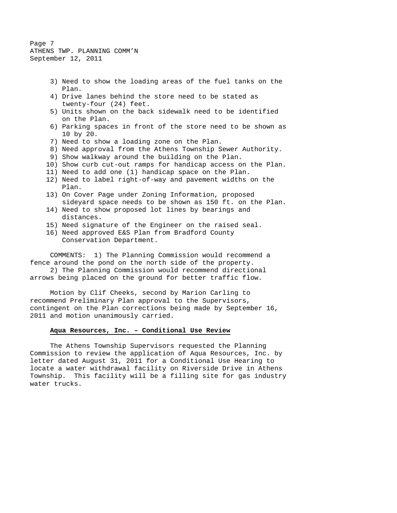Page 7 ATHENS TWP. PLANNING COMM'N September 12, 2011

- 3) Need to show the loading areas of the fuel tanks on the Plan.
- 4) Drive lanes behind the store need to be stated as twenty-four (24) feet.
- 5) Units shown on the back sidewalk need to be identified on the Plan.
- 6) Parking spaces in front of the store need to be shown as 10 by 20.
- 7) Need to show a loading zone on the Plan.
- 8) Need approval from the Athens Township Sewer Authority.
- 9) Show walkway around the building on the Plan.
- 10) Show curb cut-out ramps for handicap access on the Plan.
- 11) Need to add one (1) handicap space on the Plan.
- 12) Need to label right-of-way and pavement widths on the Plan.
- 13) On Cover Page under Zoning Information, proposed sideyard space needs to be shown as 150 ft. on the Plan.
- 14) Need to show proposed lot lines by bearings and distances.
- 15) Need signature of the Engineer on the raised seal.
- 16) Need approved E&S Plan from Bradford County Conservation Department.

 COMMENTS: 1) The Planning Commission would recommend a fence around the pond on the north side of the property.

 2) The Planning Commission would recommend directional arrows being placed on the ground for better traffic flow.

 Motion by Clif Cheeks, second by Marion Carling to recommend Preliminary Plan approval to the Supervisors, contingent on the Plan corrections being made by September 16, 2011 and motion unanimously carried.

## **Aqua Resources, Inc. – Conditional Use Review**

 The Athens Township Supervisors requested the Planning Commission to review the application of Aqua Resources, Inc. by letter dated August 31, 2011 for a Conditional Use Hearing to locate a water withdrawal facility on Riverside Drive in Athens Township. This facility will be a filling site for gas industry water trucks.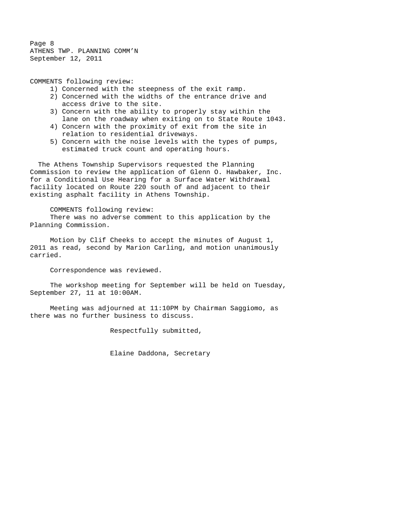Page 8 ATHENS TWP. PLANNING COMM'N September 12, 2011

COMMENTS following review:

- 1) Concerned with the steepness of the exit ramp.
- 2) Concerned with the widths of the entrance drive and access drive to the site.
- 3) Concern with the ability to properly stay within the lane on the roadway when exiting on to State Route 1043.
- 4) Concern with the proximity of exit from the site in relation to residential driveways.
- 5) Concern with the noise levels with the types of pumps, estimated truck count and operating hours.

 The Athens Township Supervisors requested the Planning Commission to review the application of Glenn O. Hawbaker, Inc. for a Conditional Use Hearing for a Surface Water Withdrawal facility located on Route 220 south of and adjacent to their existing asphalt facility in Athens Township.

COMMENTS following review:

 There was no adverse comment to this application by the Planning Commission.

Motion by Clif Cheeks to accept the minutes of August 1, 2011 as read, second by Marion Carling, and motion unanimously carried.

Correspondence was reviewed.

The workshop meeting for September will be held on Tuesday, September 27, 11 at 10:00AM.

Meeting was adjourned at 11:10PM by Chairman Saggiomo, as there was no further business to discuss.

Respectfully submitted,

Elaine Daddona, Secretary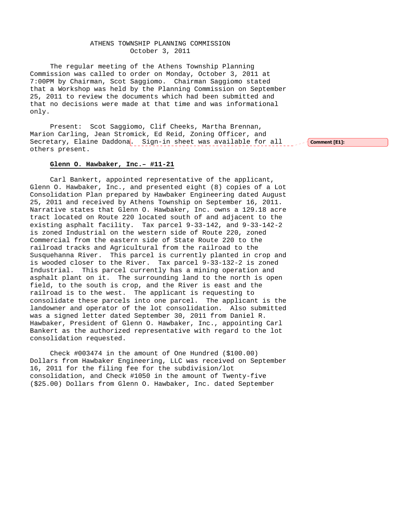## ATHENS TOWNSHIP PLANNING COMMISSION October 3, 2011

The regular meeting of the Athens Township Planning Commission was called to order on Monday, October 3, 2011 at 7:00PM by Chairman, Scot Saggiomo. Chairman Saggiomo stated that a Workshop was held by the Planning Commission on September 25, 2011 to review the documents which had been submitted and that no decisions were made at that time and was informational only.

Present: Scot Saggiomo, Clif Cheeks, Martha Brennan, Marion Carling, Jean Stromick, Ed Reid, Zoning Officer, and Secretary, Elaine Daddona. Sign-in sheet was available for all secomment [E1]: others present.

### **Glenn O. Hawbaker, Inc.– #11-21**

Carl Bankert, appointed representative of the applicant, Glenn O. Hawbaker, Inc., and presented eight (8) copies of a Lot Consolidation Plan prepared by Hawbaker Engineering dated August 25, 2011 and received by Athens Township on September 16, 2011. Narrative states that Glenn O. Hawbaker, Inc. owns a 129.18 acre tract located on Route 220 located south of and adjacent to the existing asphalt facility. Tax parcel 9-33-142, and 9-33-142-2 is zoned Industrial on the western side of Route 220, zoned Commercial from the eastern side of State Route 220 to the railroad tracks and Agricultural from the railroad to the Susquehanna River. This parcel is currently planted in crop and is wooded closer to the River. Tax parcel 9-33-132-2 is zoned Industrial. This parcel currently has a mining operation and asphalt plant on it. The surrounding land to the north is open field, to the south is crop, and the River is east and the railroad is to the west. The applicant is requesting to consolidate these parcels into one parcel. The applicant is the landowner and operator of the lot consolidation. Also submitted was a signed letter dated September 30, 2011 from Daniel R. Hawbaker, President of Glenn O. Hawbaker, Inc., appointing Carl Bankert as the authorized representative with regard to the lot consolidation requested.

Check #003474 in the amount of One Hundred (\$100.00) Dollars from Hawbaker Engineering, LLC was received on September 16, 2011 for the filing fee for the subdivision/lot consolidation, and Check #1050 in the amount of Twenty-five (\$25.00) Dollars from Glenn O. Hawbaker, Inc. dated September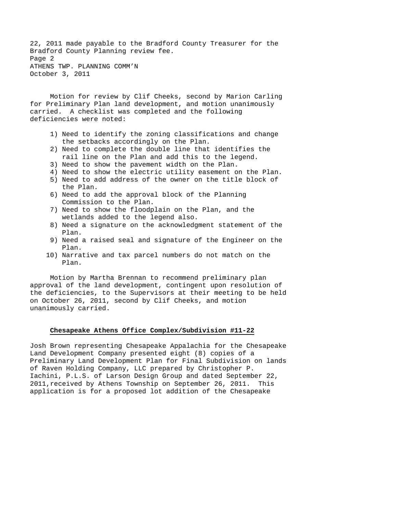22, 2011 made payable to the Bradford County Treasurer for the Bradford County Planning review fee. Page 2 ATHENS TWP. PLANNING COMM'N October 3, 2011

Motion for review by Clif Cheeks, second by Marion Carling for Preliminary Plan land development, and motion unanimously carried. A checklist was completed and the following deficiencies were noted:

- 1) Need to identify the zoning classifications and change the setbacks accordingly on the Plan.
- 2) Need to complete the double line that identifies the rail line on the Plan and add this to the legend.
- 3) Need to show the pavement width on the Plan.
- 4) Need to show the electric utility easement on the Plan.
- 5) Need to add address of the owner on the title block of the Plan.
- 6) Need to add the approval block of the Planning Commission to the Plan.
- 7) Need to show the floodplain on the Plan, and the wetlands added to the legend also.
- 8) Need a signature on the acknowledgment statement of the Plan.
- 9) Need a raised seal and signature of the Engineer on the Plan.
- 10) Narrative and tax parcel numbers do not match on the Plan.

Motion by Martha Brennan to recommend preliminary plan approval of the land development, contingent upon resolution of the deficiencies, to the Supervisors at their meeting to be held on October 26, 2011, second by Clif Cheeks, and motion unanimously carried.

# **Chesapeake Athens Office Complex/Subdivision #11-22**

Josh Brown representing Chesapeake Appalachia for the Chesapeake Land Development Company presented eight (8) copies of a Preliminary Land Development Plan for Final Subdivision on lands of Raven Holding Company, LLC prepared by Christopher P. Iachini, P.L.S. of Larson Design Group and dated September 22, 2011,received by Athens Township on September 26, 2011. This application is for a proposed lot addition of the Chesapeake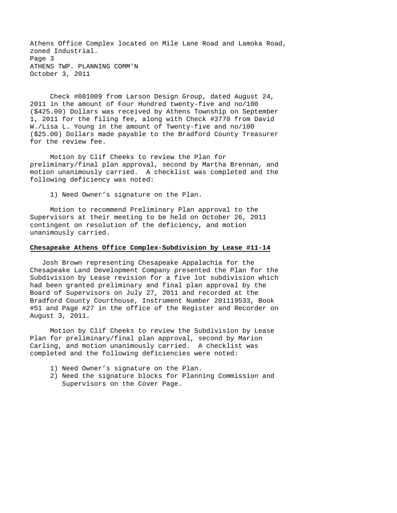Athens Office Complex located on Mile Lane Road and Lamoka Road, zoned Industrial. Page 3 ATHENS TWP. PLANNING COMM'N October 3, 2011

 Check #081009 from Larson Design Group, dated August 24, 2011 in the amount of Four Hundred twenty-five and no/100 (\$425.00) Dollars was received by Athens Township on September 1, 2011 for the filing fee, along with Check #3770 from David W./Lisa L. Young in the amount of Twenty-five and no/100 (\$25.00) Dollars made payable to the Bradford County Treasurer for the review fee.

 Motion by Clif Cheeks to review the Plan for preliminary/final plan approval, second by Martha Brennan, and motion unanimously carried. A checklist was completed and the following deficiency was noted:

1) Need Owner's signature on the Plan.

 Motion to recommend Preliminary Plan approval to the Supervisors at their meeting to be held on October 26, 2011 contingent on resolution of the deficiency, and motion unanimously carried.

#### **Chesapeake Athens Office Complex-Subdivision by Lease #11-14**

 Josh Brown representing Chesapeake Appalachia for the Chesapeake Land Development Company presented the Plan for the Subdivision by Lease revision for a five lot subdivision which had been granted preliminary and final plan approval by the Board of Supervisors on July 27, 2011 and recorded at the Bradford County Courthouse, Instrument Number 201119533, Book #51 and Page #27 in the office of the Register and Recorder on August 3, 2011.

 Motion by Clif Cheeks to review the Subdivision by Lease Plan for preliminary/final plan approval, second by Marion Carling, and motion unanimously carried. A checklist was completed and the following deficiencies were noted:

- 1) Need Owner's signature on the Plan.
- 2) Need the signature blocks for Planning Commission and Supervisors on the Cover Page.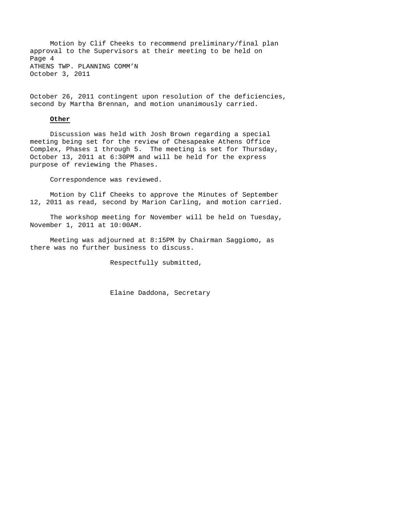Motion by Clif Cheeks to recommend preliminary/final plan approval to the Supervisors at their meeting to be held on Page 4 ATHENS TWP. PLANNING COMM'N October 3, 2011

October 26, 2011 contingent upon resolution of the deficiencies, second by Martha Brennan, and motion unanimously carried.

### **Other**

 Discussion was held with Josh Brown regarding a special meeting being set for the review of Chesapeake Athens Office Complex, Phases 1 through 5. The meeting is set for Thursday, October 13, 2011 at 6:30PM and will be held for the express purpose of reviewing the Phases.

Correspondence was reviewed.

Motion by Clif Cheeks to approve the Minutes of September 12, 2011 as read, second by Marion Carling, and motion carried.

The workshop meeting for November will be held on Tuesday, November 1, 2011 at 10:00AM.

Meeting was adjourned at 8:15PM by Chairman Saggiomo, as there was no further business to discuss.

Respectfully submitted,

Elaine Daddona, Secretary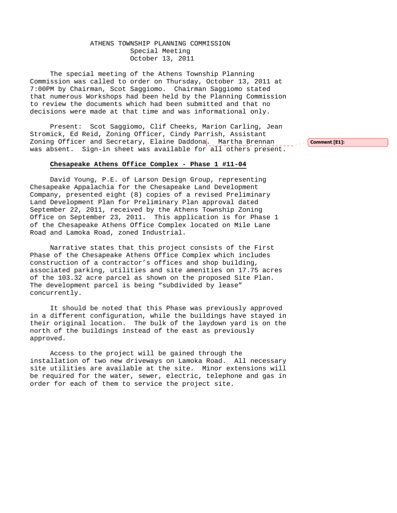# ATHENS TOWNSHIP PLANNING COMMISSION Special Meeting October 13, 2011

The special meeting of the Athens Township Planning Commission was called to order on Thursday, October 13, 2011 at 7:00PM by Chairman, Scot Saggiomo. Chairman Saggiomo stated that numerous Workshops had been held by the Planning Commission to review the documents which had been submitted and that no decisions were made at that time and was informational only.

Present: Scot Saggiomo, Clif Cheeks, Marion Carling, Jean Stromick, Ed Reid, Zoning Officer, Cindy Parrish, Assistant Zoning Officer and Secretary, Elaine Daddona. Martha Brennan was absent. Sign-in sheet was available for all others present.

## **Chesapeake Athens Office Complex - Phase 1 #11-04**

 David Young, P.E. of Larson Design Group, representing Chesapeake Appalachia for the Chesapeake Land Development Company, presented eight (8) copies of a revised Preliminary Land Development Plan for Preliminary Plan approval dated September 22, 2011, received by the Athens Township Zoning Office on September 23, 2011. This application is for Phase 1 of the Chesapeake Athens Office Complex located on Mile Lane Road and Lamoka Road, zoned Industrial.

 Narrative states that this project consists of the First Phase of the Chesapeake Athens Office Complex which includes construction of a contractor's offices and shop building, associated parking, utilities and site amenities on 17.75 acres of the 103.32 acre parcel as shown on the proposed Site Plan. The development parcel is being "subdivided by lease" concurrently.

 It should be noted that this Phase was previously approved in a different configuration, while the buildings have stayed in their original location. The bulk of the laydown yard is on the north of the buildings instead of the east as previously approved.

 Access to the project will be gained through the installation of two new driveways on Lamoka Road. All necessary site utilities are available at the site. Minor extensions will be required for the water, sewer, electric, telephone and gas in order for each of them to service the project site.

Comment [E1]: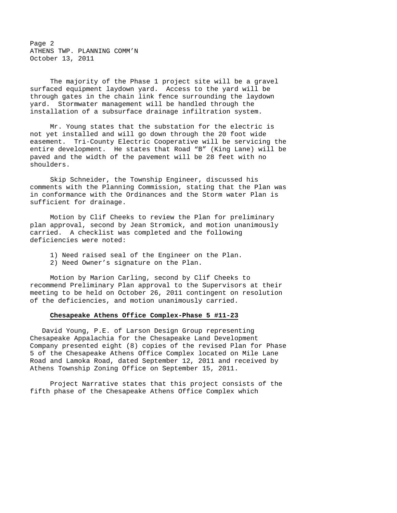Page 2 ATHENS TWP. PLANNING COMM'N October 13, 2011

 The majority of the Phase 1 project site will be a gravel surfaced equipment laydown yard. Access to the yard will be through gates in the chain link fence surrounding the laydown yard. Stormwater management will be handled through the installation of a subsurface drainage infiltration system.

 Mr. Young states that the substation for the electric is not yet installed and will go down through the 20 foot wide easement. Tri-County Electric Cooperative will be servicing the entire development. He states that Road "B" (King Lane) will be paved and the width of the pavement will be 28 feet with no shoulders.

 Skip Schneider, the Township Engineer, discussed his comments with the Planning Commission, stating that the Plan was in conformance with the Ordinances and the Storm water Plan is sufficient for drainage.

 Motion by Clif Cheeks to review the Plan for preliminary plan approval, second by Jean Stromick, and motion unanimously carried. A checklist was completed and the following deficiencies were noted:

- 1) Need raised seal of the Engineer on the Plan.
- 2) Need Owner's signature on the Plan.

 Motion by Marion Carling, second by Clif Cheeks to recommend Preliminary Plan approval to the Supervisors at their meeting to be held on October 26, 2011 contingent on resolution of the deficiencies, and motion unanimously carried.

#### **Chesapeake Athens Office Complex-Phase 5 #11-23**

 David Young, P.E. of Larson Design Group representing Chesapeake Appalachia for the Chesapeake Land Development Company presented eight (8) copies of the revised Plan for Phase 5 of the Chesapeake Athens Office Complex located on Mile Lane Road and Lamoka Road, dated September 12, 2011 and received by Athens Township Zoning Office on September 15, 2011.

 Project Narrative states that this project consists of the fifth phase of the Chesapeake Athens Office Complex which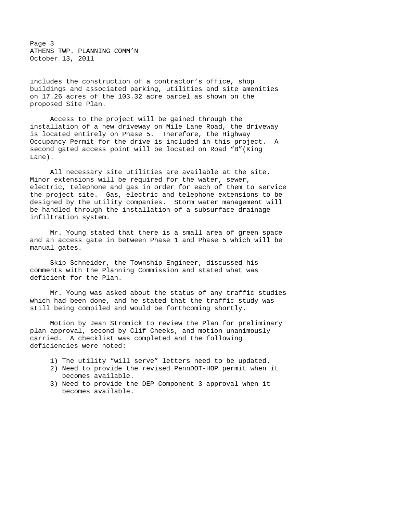Page 3 ATHENS TWP. PLANNING COMM'N October 13, 2011

includes the construction of a contractor's office, shop buildings and associated parking, utilities and site amenities on 17.26 acres of the 103.32 acre parcel as shown on the proposed Site Plan.

 Access to the project will be gained through the installation of a new driveway on Mile Lane Road, the driveway is located entirely on Phase 5. Therefore, the Highway Occupancy Permit for the drive is included in this project. A second gated access point will be located on Road "B"(King Lane).

 All necessary site utilities are available at the site. Minor extensions will be required for the water, sewer, electric, telephone and gas in order for each of them to service the project site. Gas, electric and telephone extensions to be designed by the utility companies. Storm water management will be handled through the installation of a subsurface drainage infiltration system.

 Mr. Young stated that there is a small area of green space and an access gate in between Phase 1 and Phase 5 which will be manual gates.

 Skip Schneider, the Township Engineer, discussed his comments with the Planning Commission and stated what was deficient for the Plan.

 Mr. Young was asked about the status of any traffic studies which had been done, and he stated that the traffic study was still being compiled and would be forthcoming shortly.

 Motion by Jean Stromick to review the Plan for preliminary plan approval, second by Clif Cheeks, and motion unanimously carried. A checklist was completed and the following deficiencies were noted:

- 1) The utility "will serve" letters need to be updated.
- 2) Need to provide the revised PennDOT-HOP permit when it becomes available.
- 3) Need to provide the DEP Component 3 approval when it becomes available.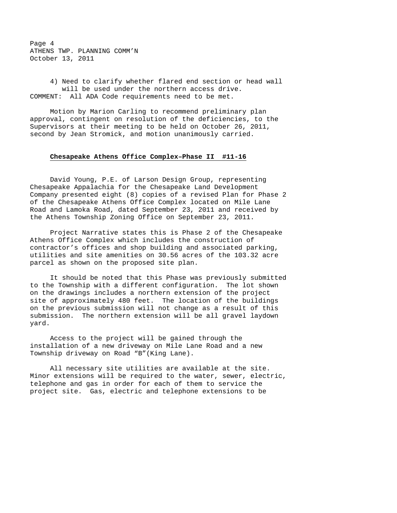Page 4 ATHENS TWP. PLANNING COMM'N October 13, 2011

 4) Need to clarify whether flared end section or head wall will be used under the northern access drive. COMMENT: All ADA Code requirements need to be met.

 Motion by Marion Carling to recommend preliminary plan approval, contingent on resolution of the deficiencies, to the Supervisors at their meeting to be held on October 26, 2011, second by Jean Stromick, and motion unanimously carried.

## **Chesapeake Athens Office Complex–Phase II #11-16**

David Young, P.E. of Larson Design Group, representing Chesapeake Appalachia for the Chesapeake Land Development Company presented eight (8) copies of a revised Plan for Phase 2 of the Chesapeake Athens Office Complex located on Mile Lane Road and Lamoka Road, dated September 23, 2011 and received by the Athens Township Zoning Office on September 23, 2011.

Project Narrative states this is Phase 2 of the Chesapeake Athens Office Complex which includes the construction of contractor's offices and shop building and associated parking, utilities and site amenities on 30.56 acres of the 103.32 acre parcel as shown on the proposed site plan.

It should be noted that this Phase was previously submitted to the Township with a different configuration. The lot shown on the drawings includes a northern extension of the project site of approximately 480 feet. The location of the buildings on the previous submission will not change as a result of this submission. The northern extension will be all gravel laydown yard.

Access to the project will be gained through the installation of a new driveway on Mile Lane Road and a new Township driveway on Road "B"(King Lane).

All necessary site utilities are available at the site. Minor extensions will be required to the water, sewer, electric, telephone and gas in order for each of them to service the project site. Gas, electric and telephone extensions to be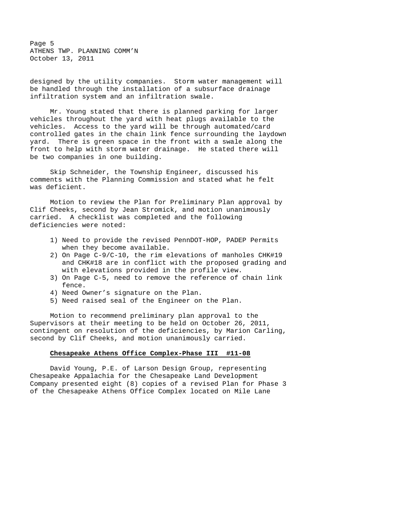Page 5 ATHENS TWP. PLANNING COMM'N October 13, 2011

designed by the utility companies. Storm water management will be handled through the installation of a subsurface drainage infiltration system and an infiltration swale.

Mr. Young stated that there is planned parking for larger vehicles throughout the yard with heat plugs available to the vehicles. Access to the yard will be through automated/card controlled gates in the chain link fence surrounding the laydown yard. There is green space in the front with a swale along the front to help with storm water drainage. He stated there will be two companies in one building.

Skip Schneider, the Township Engineer, discussed his comments with the Planning Commission and stated what he felt was deficient.

Motion to review the Plan for Preliminary Plan approval by Clif Cheeks, second by Jean Stromick, and motion unanimously carried. A checklist was completed and the following deficiencies were noted:

- 1) Need to provide the revised PennDOT-HOP, PADEP Permits when they become available.
- 2) On Page C-9/C-10, the rim elevations of manholes CHK#19 and CHK#18 are in conflict with the proposed grading and with elevations provided in the profile view.
- 3) On Page C-5, need to remove the reference of chain link fence.
- 4) Need Owner's signature on the Plan.
- 5) Need raised seal of the Engineer on the Plan.

Motion to recommend preliminary plan approval to the Supervisors at their meeting to be held on October 26, 2011, contingent on resolution of the deficiencies, by Marion Carling, second by Clif Cheeks, and motion unanimously carried.

### **Chesapeake Athens Office Complex-Phase III #11-08**

David Young, P.E. of Larson Design Group, representing Chesapeake Appalachia for the Chesapeake Land Development Company presented eight (8) copies of a revised Plan for Phase 3 of the Chesapeake Athens Office Complex located on Mile Lane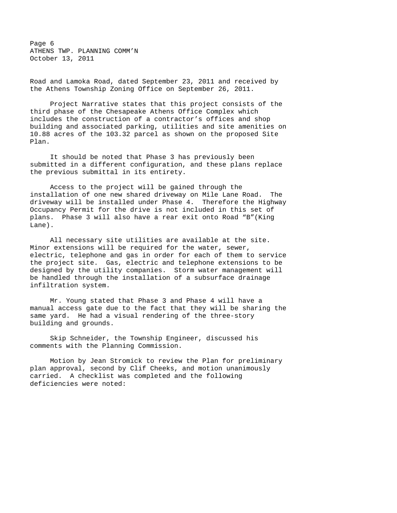Page 6 ATHENS TWP. PLANNING COMM'N October 13, 2011

Road and Lamoka Road, dated September 23, 2011 and received by the Athens Township Zoning Office on September 26, 2011.

Project Narrative states that this project consists of the third phase of the Chesapeake Athens Office Complex which includes the construction of a contractor's offices and shop building and associated parking, utilities and site amenities on 10.88 acres of the 103.32 parcel as shown on the proposed Site Plan.

It should be noted that Phase 3 has previously been submitted in a different configuration, and these plans replace the previous submittal in its entirety.

Access to the project will be gained through the installation of one new shared driveway on Mile Lane Road. The driveway will be installed under Phase 4. Therefore the Highway Occupancy Permit for the drive is not included in this set of plans. Phase 3 will also have a rear exit onto Road "B"(King Lane).

All necessary site utilities are available at the site. Minor extensions will be required for the water, sewer, electric, telephone and gas in order for each of them to service the project site. Gas, electric and telephone extensions to be designed by the utility companies. Storm water management will be handled through the installation of a subsurface drainage infiltration system.

Mr. Young stated that Phase 3 and Phase 4 will have a manual access gate due to the fact that they will be sharing the same yard. He had a visual rendering of the three-story building and grounds.

Skip Schneider, the Township Engineer, discussed his comments with the Planning Commission.

Motion by Jean Stromick to review the Plan for preliminary plan approval, second by Clif Cheeks, and motion unanimously carried. A checklist was completed and the following deficiencies were noted: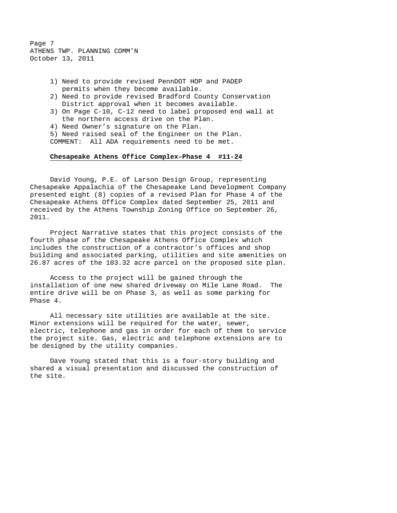Page 7 ATHENS TWP. PLANNING COMM'N October 13, 2011

- 1) Need to provide revised PennDOT HOP and PADEP permits when they become available.
- 2) Need to provide revised Bradford County Conservation District approval when it becomes available.
- 3) On Page C-10, C-12 need to label proposed end wall at the northern access drive on the Plan.
- 4) Need Owner's signature on the Plan.
- 5) Need raised seal of the Engineer on the Plan.

COMMENT: All ADA requirements need to be met.

## **Chesapeake Athens Office Complex–Phase 4 #11-24**

David Young, P.E. of Larson Design Group, representing Chesapeake Appalachia of the Chesapeake Land Development Company presented eight (8) copies of a revised Plan for Phase 4 of the Chesapeake Athens Office Complex dated September 25, 2011 and received by the Athens Township Zoning Office on September 26, 2011.

Project Narrative states that this project consists of the fourth phase of the Chesapeake Athens Office Complex which includes the construction of a contractor's offices and shop building and associated parking, utilities and site amenities on 26.87 acres of the 103.32 acre parcel on the proposed site plan.

Access to the project will be gained through the installation of one new shared driveway on Mile Lane Road. The entire drive will be on Phase 3, as well as some parking for Phase 4.

All necessary site utilities are available at the site. Minor extensions will be required for the water, sewer, electric, telephone and gas in order for each of them to service the project site. Gas, electric and telephone extensions are to be designed by the utility companies.

Dave Young stated that this is a four-story building and shared a visual presentation and discussed the construction of the site.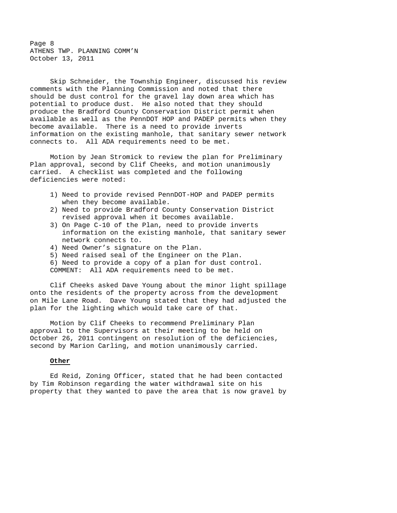Page 8 ATHENS TWP. PLANNING COMM'N October 13, 2011

Skip Schneider, the Township Engineer, discussed his review comments with the Planning Commission and noted that there should be dust control for the gravel lay down area which has potential to produce dust. He also noted that they should produce the Bradford County Conservation District permit when available as well as the PennDOT HOP and PADEP permits when they become available. There is a need to provide inverts information on the existing manhole, that sanitary sewer network connects to. All ADA requirements need to be met.

 Motion by Jean Stromick to review the plan for Preliminary Plan approval, second by Clif Cheeks, and motion unanimously carried. A checklist was completed and the following deficiencies were noted:

- 1) Need to provide revised PennDOT-HOP and PADEP permits when they become available.
- 2) Need to provide Bradford County Conservation District revised approval when it becomes available.
- 3) On Page C-10 of the Plan, need to provide inverts information on the existing manhole, that sanitary sewer network connects to.
- 4) Need Owner's signature on the Plan.
- 5) Need raised seal of the Engineer on the Plan.
- 6) Need to provide a copy of a plan for dust control.
- COMMENT: All ADA requirements need to be met.

 Clif Cheeks asked Dave Young about the minor light spillage onto the residents of the property across from the development on Mile Lane Road. Dave Young stated that they had adjusted the plan for the lighting which would take care of that.

 Motion by Clif Cheeks to recommend Preliminary Plan approval to the Supervisors at their meeting to be held on October 26, 2011 contingent on resolution of the deficiencies, second by Marion Carling, and motion unanimously carried.

# **Other**

 Ed Reid, Zoning Officer, stated that he had been contacted by Tim Robinson regarding the water withdrawal site on his property that they wanted to pave the area that is now gravel by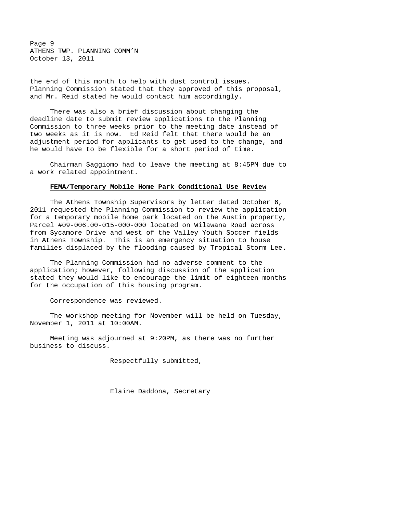Page 9 ATHENS TWP. PLANNING COMM'N October 13, 2011

the end of this month to help with dust control issues. Planning Commission stated that they approved of this proposal, and Mr. Reid stated he would contact him accordingly.

 There was also a brief discussion about changing the deadline date to submit review applications to the Planning Commission to three weeks prior to the meeting date instead of two weeks as it is now. Ed Reid felt that there would be an adjustment period for applicants to get used to the change, and he would have to be flexible for a short period of time.

 Chairman Saggiomo had to leave the meeting at 8:45PM due to a work related appointment.

### **FEMA/Temporary Mobile Home Park Conditional Use Review**

 The Athens Township Supervisors by letter dated October 6, 2011 requested the Planning Commission to review the application for a temporary mobile home park located on the Austin property, Parcel #09-006.00-015-000-000 located on Wilawana Road across from Sycamore Drive and west of the Valley Youth Soccer fields in Athens Township. This is an emergency situation to house families displaced by the flooding caused by Tropical Storm Lee.

 The Planning Commission had no adverse comment to the application; however, following discussion of the application stated they would like to encourage the limit of eighteen months for the occupation of this housing program.

Correspondence was reviewed.

The workshop meeting for November will be held on Tuesday, November 1, 2011 at 10:00AM.

Meeting was adjourned at 9:20PM, as there was no further business to discuss.

Respectfully submitted,

Elaine Daddona, Secretary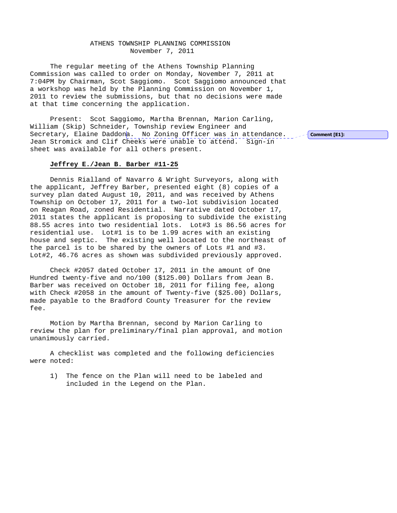## ATHENS TOWNSHIP PLANNING COMMISSION November 7, 2011

The regular meeting of the Athens Township Planning Commission was called to order on Monday, November 7, 2011 at 7:04PM by Chairman, Scot Saggiomo. Scot Saggiomo announced that a workshop was held by the Planning Commission on November 1, 2011 to review the submissions, but that no decisions were made at that time concerning the application.

Present: Scot Saggiomo, Martha Brennan, Marion Carling, William (Skip) Schneider, Township review Engineer and Secretary, Elaine Daddona. No Zoning Officer was in attendance. Jean Stromick and Clif Cheeks were unable to attend. Sign-in sheet was available for all others present.

### **Jeffrey E./Jean B. Barber #11-25**

Dennis Rialland of Navarro & Wright Surveyors, along with the applicant, Jeffrey Barber, presented eight (8) copies of a survey plan dated August 10, 2011, and was received by Athens Township on October 17, 2011 for a two-lot subdivision located on Reagan Road, zoned Residential. Narrative dated October 17, 2011 states the applicant is proposing to subdivide the existing 88.55 acres into two residential lots. Lot#3 is 86.56 acres for residential use. Lot#1 is to be 1.99 acres with an existing house and septic. The existing well located to the northeast of the parcel is to be shared by the owners of Lots #1 and #3. Lot#2, 46.76 acres as shown was subdivided previously approved.

Check #2057 dated October 17, 2011 in the amount of One Hundred twenty-five and no/100 (\$125.00) Dollars from Jean B. Barber was received on October 18, 2011 for filing fee, along with Check #2058 in the amount of Twenty-five (\$25.00) Dollars, made payable to the Bradford County Treasurer for the review fee.

Motion by Martha Brennan, second by Marion Carling to review the plan for preliminary/final plan approval, and motion unanimously carried.

A checklist was completed and the following deficiencies were noted:

1) The fence on the Plan will need to be labeled and included in the Legend on the Plan.

Comment [E1]: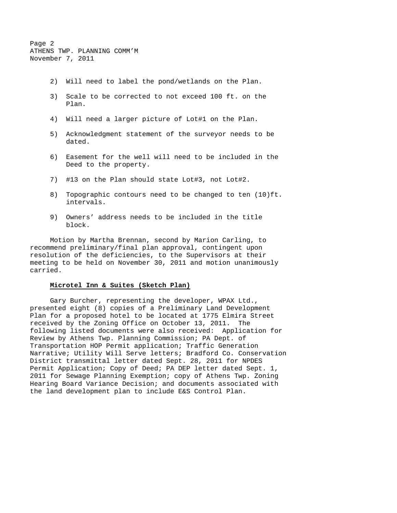Page 2 ATHENS TWP. PLANNING COMM'M November 7, 2011

- 2) Will need to label the pond/wetlands on the Plan.
- 3) Scale to be corrected to not exceed 100 ft. on the Plan.
- 4) Will need a larger picture of Lot#1 on the Plan.
- 5) Acknowledgment statement of the surveyor needs to be dated.
- 6) Easement for the well will need to be included in the Deed to the property.
- 7) #13 on the Plan should state Lot#3, not Lot#2.
- 8) Topographic contours need to be changed to ten (10)ft. intervals.
- 9) Owners' address needs to be included in the title block.

Motion by Martha Brennan, second by Marion Carling, to recommend preliminary/final plan approval, contingent upon resolution of the deficiencies, to the Supervisors at their meeting to be held on November 30, 2011 and motion unanimously carried.

## **Microtel Inn & Suites (Sketch Plan)**

Gary Burcher, representing the developer, WPAX Ltd., presented eight (8) copies of a Preliminary Land Development Plan for a proposed hotel to be located at 1775 Elmira Street received by the Zoning Office on October 13, 2011. The following listed documents were also received: Application for Review by Athens Twp. Planning Commission; PA Dept. of Transportation HOP Permit application; Traffic Generation Narrative; Utility Will Serve letters; Bradford Co. Conservation District transmittal letter dated Sept. 28, 2011 for NPDES Permit Application; Copy of Deed; PA DEP letter dated Sept. 1, 2011 for Sewage Planning Exemption; copy of Athens Twp. Zoning Hearing Board Variance Decision; and documents associated with the land development plan to include E&S Control Plan.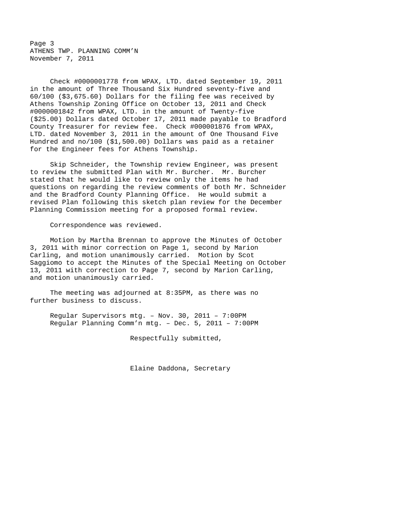Page 3 ATHENS TWP. PLANNING COMM'N November 7, 2011

Check #0000001778 from WPAX, LTD. dated September 19, 2011 in the amount of Three Thousand Six Hundred seventy-five and 60/100 (\$3,675.60) Dollars for the filing fee was received by Athens Township Zoning Office on October 13, 2011 and Check #0000001842 from WPAX, LTD. in the amount of Twenty-five (\$25.00) Dollars dated October 17, 2011 made payable to Bradford County Treasurer for review fee. Check #000001876 from WPAX, LTD. dated November 3, 2011 in the amount of One Thousand Five Hundred and no/100 (\$1,500.00) Dollars was paid as a retainer for the Engineer fees for Athens Township.

Skip Schneider, the Township review Engineer, was present to review the submitted Plan with Mr. Burcher. Mr. Burcher stated that he would like to review only the items he had questions on regarding the review comments of both Mr. Schneider and the Bradford County Planning Office. He would submit a revised Plan following this sketch plan review for the December Planning Commission meeting for a proposed formal review.

Correspondence was reviewed.

 Motion by Martha Brennan to approve the Minutes of October 3, 2011 with minor correction on Page 1, second by Marion Carling, and motion unanimously carried. Motion by Scot Saggiomo to accept the Minutes of the Special Meeting on October 13, 2011 with correction to Page 7, second by Marion Carling, and motion unanimously carried.

 The meeting was adjourned at 8:35PM, as there was no further business to discuss.

Regular Supervisors mtg. – Nov. 30, 2011 – 7:00PM Regular Planning Comm'n mtg. – Dec. 5, 2011 – 7:00PM

Respectfully submitted,

Elaine Daddona, Secretary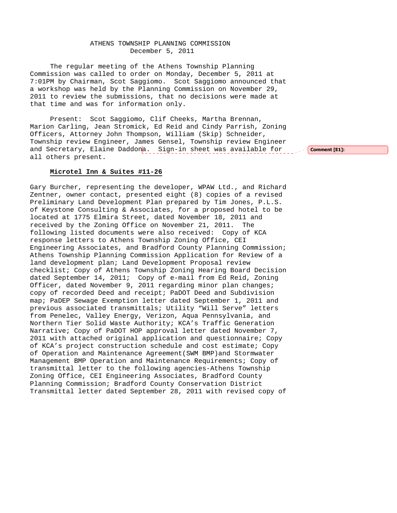## ATHENS TOWNSHIP PLANNING COMMISSION December 5, 2011

The regular meeting of the Athens Township Planning Commission was called to order on Monday, December 5, 2011 at 7:01PM by Chairman, Scot Saggiomo. Scot Saggiomo announced that a workshop was held by the Planning Commission on November 29, 2011 to review the submissions, that no decisions were made at that time and was for information only.

Present: Scot Saggiomo, Clif Cheeks, Martha Brennan, Marion Carling, Jean Stromick, Ed Reid and Cindy Parrish, Zoning Officers, Attorney John Thompson, William (Skip) Schneider, Township review Engineer, James Gensel, Township review Engineer and Secretary, Elaine Daddona. Sign-in sheet was available for all others present.

## **Microtel Inn & Suites #11-26**

Gary Burcher, representing the developer, WPAW Ltd., and Richard Zentner, owner contact, presented eight (8) copies of a revised Preliminary Land Development Plan prepared by Tim Jones, P.L.S. of Keystone Consulting & Associates, for a proposed hotel to be located at 1775 Elmira Street, dated November 18, 2011 and received by the Zoning Office on November 21, 2011. The following listed documents were also received: Copy of KCA response letters to Athens Township Zoning Office, CEI Engineering Associates, and Bradford County Planning Commission; Athens Township Planning Commission Application for Review of a land development plan; Land Development Proposal review checklist; Copy of Athens Township Zoning Hearing Board Decision dated September 14, 2011; Copy of e-mail from Ed Reid, Zoning Officer, dated November 9, 2011 regarding minor plan changes; copy of recorded Deed and receipt; PaDOT Deed and Subdivision map; PaDEP Sewage Exemption letter dated September 1, 2011 and previous associated transmittals; Utility "Will Serve" letters from Penelec, Valley Energy, Verizon, Aqua Pennsylvania, and Northern Tier Solid Waste Authority; KCA's Traffic Generation Narrative; Copy of PaDOT HOP approval letter dated November 7, 2011 with attached original application and questionnaire; Copy of KCA's project construction schedule and cost estimate; Copy of Operation and Maintenance Agreement(SWM BMP)and Stormwater Management BMP Operation and Maintenance Requirements; Copy of transmittal letter to the following agencies-Athens Township Zoning Office, CEI Engineering Associates, Bradford County Planning Commission; Bradford County Conservation District Transmittal letter dated September 28, 2011 with revised copy of

Comment [E1]: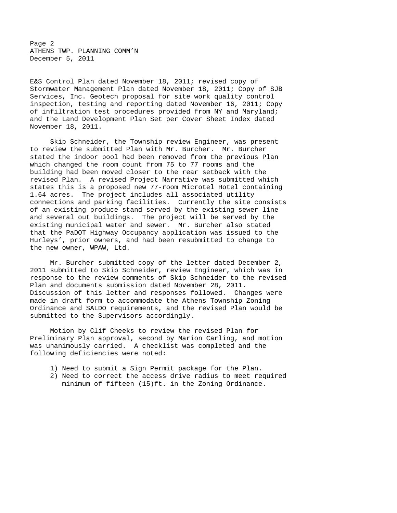Page 2 ATHENS TWP. PLANNING COMM'N December 5, 2011

E&S Control Plan dated November 18, 2011; revised copy of Stormwater Management Plan dated November 18, 2011; Copy of SJB Services, Inc. Geotech proposal for site work quality control inspection, testing and reporting dated November 16, 2011; Copy of infiltration test procedures provided from NY and Maryland; and the Land Development Plan Set per Cover Sheet Index dated November 18, 2011.

Skip Schneider, the Township review Engineer, was present to review the submitted Plan with Mr. Burcher. Mr. Burcher stated the indoor pool had been removed from the previous Plan which changed the room count from 75 to 77 rooms and the building had been moved closer to the rear setback with the revised Plan. A revised Project Narrative was submitted which states this is a proposed new 77-room Microtel Hotel containing 1.64 acres. The project includes all associated utility connections and parking facilities. Currently the site consists of an existing produce stand served by the existing sewer line and several out buildings. The project will be served by the existing municipal water and sewer. Mr. Burcher also stated that the PaDOT Highway Occupancy application was issued to the Hurleys', prior owners, and had been resubmitted to change to the new owner, WPAW, Ltd.

Mr. Burcher submitted copy of the letter dated December 2, 2011 submitted to Skip Schneider, review Engineer, which was in response to the review comments of Skip Schneider to the revised Plan and documents submission dated November 28, 2011. Discussion of this letter and responses followed. Changes were made in draft form to accommodate the Athens Township Zoning Ordinance and SALDO requirements, and the revised Plan would be submitted to the Supervisors accordingly.

Motion by Clif Cheeks to review the revised Plan for Preliminary Plan approval, second by Marion Carling, and motion was unanimously carried. A checklist was completed and the following deficiencies were noted:

- 1) Need to submit a Sign Permit package for the Plan.
- 2) Need to correct the access drive radius to meet required minimum of fifteen (15)ft. in the Zoning Ordinance.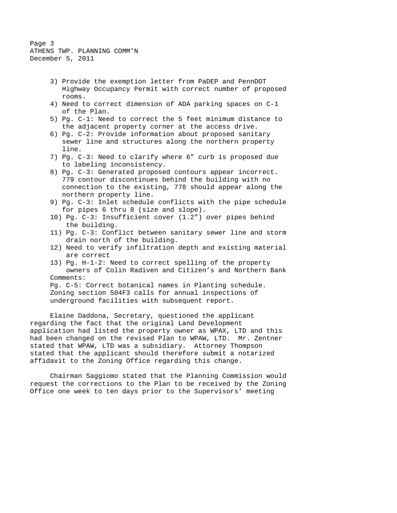Page 3 ATHENS TWP. PLANNING COMM'N December 5, 2011

- 3) Provide the exemption letter from PaDEP and PennDOT Highway Occupancy Permit with correct number of proposed rooms.
- 4) Need to correct dimension of ADA parking spaces on C-1 of the Plan.
- 5) Pg. C-1: Need to correct the 5 feet minimum distance to the adjacent property corner at the access drive.
- 6) Pg. C-2: Provide information about proposed sanitary sewer line and structures along the northern property line.
- 7) Pg. C-3: Need to clarify where 6" curb is proposed due to labeling inconsistency.
- 8) Pg. C-3: Generated proposed contours appear incorrect. 779 contour discontinues behind the building with no connection to the existing, 778 should appear along the northern property line.
- 9) Pg. C-3: Inlet schedule conflicts with the pipe schedule for pipes 6 thru 8 (size and slope).
- 10) Pg. C-3: Insufficient cover (1.2") over pipes behind the building.
- 11) Pg. C-3: Conflict between sanitary sewer line and storm drain north of the building.
- 12) Need to verify infiltration depth and existing material are correct
- 13) Pg. H-1-2: Need to correct spelling of the property owners of Colin Radiven and Citizen's and Northern Bank Comments:

Pg. C-5: Correct botanical names in Planting schedule. Zoning section 504F3 calls for annual inspections of underground facilities with subsequent report.

Elaine Daddona, Secretary, questioned the applicant regarding the fact that the original Land Development application had listed the property owner as WPAX, LTD and this had been changed on the revised Plan to WPAW, LTD. Mr. Zentner stated that WPAW, LTD was a subsidiary. Attorney Thompson stated that the applicant should therefore submit a notarized affidavit to the Zoning Office regarding this change.

Chairman Saggiomo stated that the Planning Commission would request the corrections to the Plan to be received by the Zoning Office one week to ten days prior to the Supervisors' meeting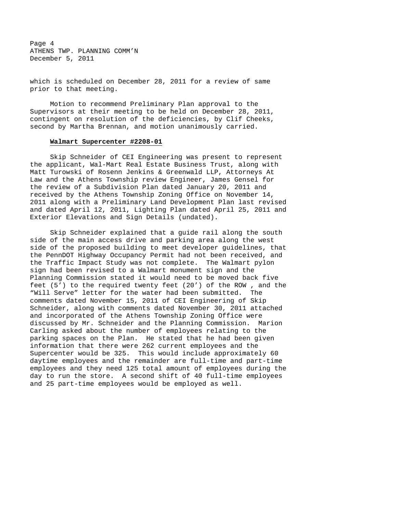Page 4 ATHENS TWP. PLANNING COMM'N December 5, 2011

which is scheduled on December 28, 2011 for a review of same prior to that meeting.

Motion to recommend Preliminary Plan approval to the Supervisors at their meeting to be held on December 28, 2011, contingent on resolution of the deficiencies, by Clif Cheeks, second by Martha Brennan, and motion unanimously carried.

# **Walmart Supercenter #2208-01**

Skip Schneider of CEI Engineering was present to represent the applicant, Wal-Mart Real Estate Business Trust, along with Matt Turowski of Rosenn Jenkins & Greenwald LLP, Attorneys At Law and the Athens Township review Engineer, James Gensel for the review of a Subdivision Plan dated January 20, 2011 and received by the Athens Township Zoning Office on November 14, 2011 along with a Preliminary Land Development Plan last revised and dated April 12, 2011, Lighting Plan dated April 25, 2011 and Exterior Elevations and Sign Details (undated).

Skip Schneider explained that a guide rail along the south side of the main access drive and parking area along the west side of the proposed building to meet developer guidelines, that the PennDOT Highway Occupancy Permit had not been received, and the Traffic Impact Study was not complete. The Walmart pylon sign had been revised to a Walmart monument sign and the Planning Commission stated it would need to be moved back five feet (5') to the required twenty feet (20') of the ROW , and the "Will Serve" letter for the water had been submitted. The comments dated November 15, 2011 of CEI Engineering of Skip Schneider, along with comments dated November 30, 2011 attached and incorporated of the Athens Township Zoning Office were discussed by Mr. Schneider and the Planning Commission. Marion Carling asked about the number of employees relating to the parking spaces on the Plan. He stated that he had been given information that there were 262 current employees and the Supercenter would be 325. This would include approximately 60 daytime employees and the remainder are full-time and part-time employees and they need 125 total amount of employees during the day to run the store. A second shift of 40 full-time employees and 25 part-time employees would be employed as well.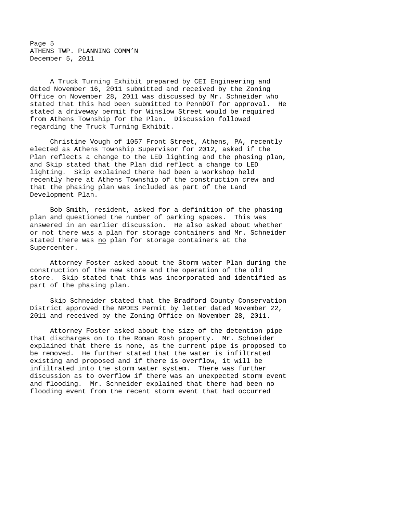Page 5 ATHENS TWP. PLANNING COMM'N December 5, 2011

A Truck Turning Exhibit prepared by CEI Engineering and dated November 16, 2011 submitted and received by the Zoning Office on November 28, 2011 was discussed by Mr. Schneider who stated that this had been submitted to PennDOT for approval. He stated a driveway permit for Winslow Street would be required from Athens Township for the Plan. Discussion followed regarding the Truck Turning Exhibit.

Christine Vough of 1057 Front Street, Athens, PA, recently elected as Athens Township Supervisor for 2012, asked if the Plan reflects a change to the LED lighting and the phasing plan, and Skip stated that the Plan did reflect a change to LED lighting. Skip explained there had been a workshop held recently here at Athens Township of the construction crew and that the phasing plan was included as part of the Land Development Plan.

Bob Smith, resident, asked for a definition of the phasing plan and questioned the number of parking spaces. This was answered in an earlier discussion. He also asked about whether or not there was a plan for storage containers and Mr. Schneider stated there was no plan for storage containers at the Supercenter.

Attorney Foster asked about the Storm water Plan during the construction of the new store and the operation of the old store. Skip stated that this was incorporated and identified as part of the phasing plan.

Skip Schneider stated that the Bradford County Conservation District approved the NPDES Permit by letter dated November 22, 2011 and received by the Zoning Office on November 28, 2011.

Attorney Foster asked about the size of the detention pipe that discharges on to the Roman Rosh property. Mr. Schneider explained that there is none, as the current pipe is proposed to be removed. He further stated that the water is infiltrated existing and proposed and if there is overflow, it will be infiltrated into the storm water system. There was further discussion as to overflow if there was an unexpected storm event and flooding. Mr. Schneider explained that there had been no flooding event from the recent storm event that had occurred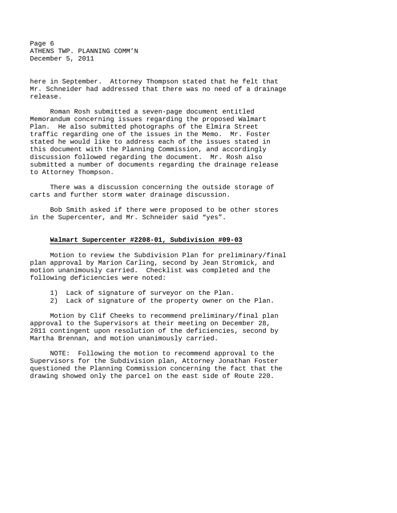Page 6 ATHENS TWP. PLANNING COMM'N December 5, 2011

here in September. Attorney Thompson stated that he felt that Mr. Schneider had addressed that there was no need of a drainage release.

Roman Rosh submitted a seven-page document entitled Memorandum concerning issues regarding the proposed Walmart Plan. He also submitted photographs of the Elmira Street traffic regarding one of the issues in the Memo. Mr. Foster stated he would like to address each of the issues stated in this document with the Planning Commission, and accordingly discussion followed regarding the document. Mr. Rosh also submitted a number of documents regarding the drainage release to Attorney Thompson.

There was a discussion concerning the outside storage of carts and further storm water drainage discussion.

Bob Smith asked if there were proposed to be other stores in the Supercenter, and Mr. Schneider said "yes".

### **Walmart Supercenter #2208-01, Subdivision #09-03**

Motion to review the Subdivision Plan for preliminary/final plan approval by Marion Carling, second by Jean Stromick, and motion unanimously carried. Checklist was completed and the following deficiencies were noted:

- 1) Lack of signature of surveyor on the Plan.
- 2) Lack of signature of the property owner on the Plan.

Motion by Clif Cheeks to recommend preliminary/final plan approval to the Supervisors at their meeting on December 28, 2011 contingent upon resolution of the deficiencies, second by Martha Brennan, and motion unanimously carried.

NOTE: Following the motion to recommend approval to the Supervisors for the Subdivision plan, Attorney Jonathan Foster questioned the Planning Commission concerning the fact that the drawing showed only the parcel on the east side of Route 220.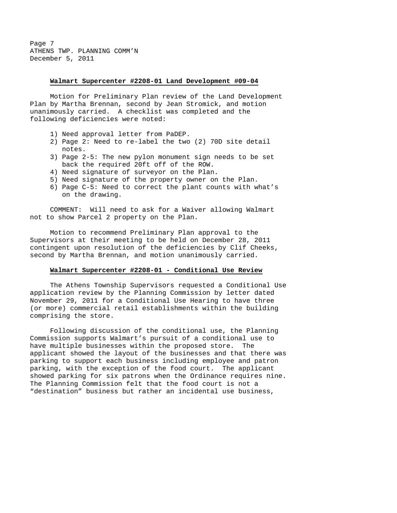Page 7 ATHENS TWP. PLANNING COMM'N December 5, 2011

#### **Walmart Supercenter #2208-01 Land Development #09-04**

Motion for Preliminary Plan review of the Land Development Plan by Martha Brennan, second by Jean Stromick, and motion unanimously carried. A checklist was completed and the following deficiencies were noted:

- 1) Need approval letter from PaDEP.
- 2) Page 2: Need to re-label the two (2) 70D site detail notes.
- 3) Page 2-5: The new pylon monument sign needs to be set back the required 20ft off of the ROW.
- 4) Need signature of surveyor on the Plan.
- 5) Need signature of the property owner on the Plan.
- 6) Page C-5: Need to correct the plant counts with what's on the drawing.

COMMENT: Will need to ask for a Waiver allowing Walmart not to show Parcel 2 property on the Plan.

Motion to recommend Preliminary Plan approval to the Supervisors at their meeting to be held on December 28, 2011 contingent upon resolution of the deficiencies by Clif Cheeks, second by Martha Brennan, and motion unanimously carried.

# **Walmart Supercenter #2208-01 - Conditional Use Review**

The Athens Township Supervisors requested a Conditional Use application review by the Planning Commission by letter dated November 29, 2011 for a Conditional Use Hearing to have three (or more) commercial retail establishments within the building comprising the store.

Following discussion of the conditional use, the Planning Commission supports Walmart's pursuit of a conditional use to have multiple businesses within the proposed store. The applicant showed the layout of the businesses and that there was parking to support each business including employee and patron parking, with the exception of the food court. The applicant showed parking for six patrons when the Ordinance requires nine. The Planning Commission felt that the food court is not a "destination" business but rather an incidental use business,